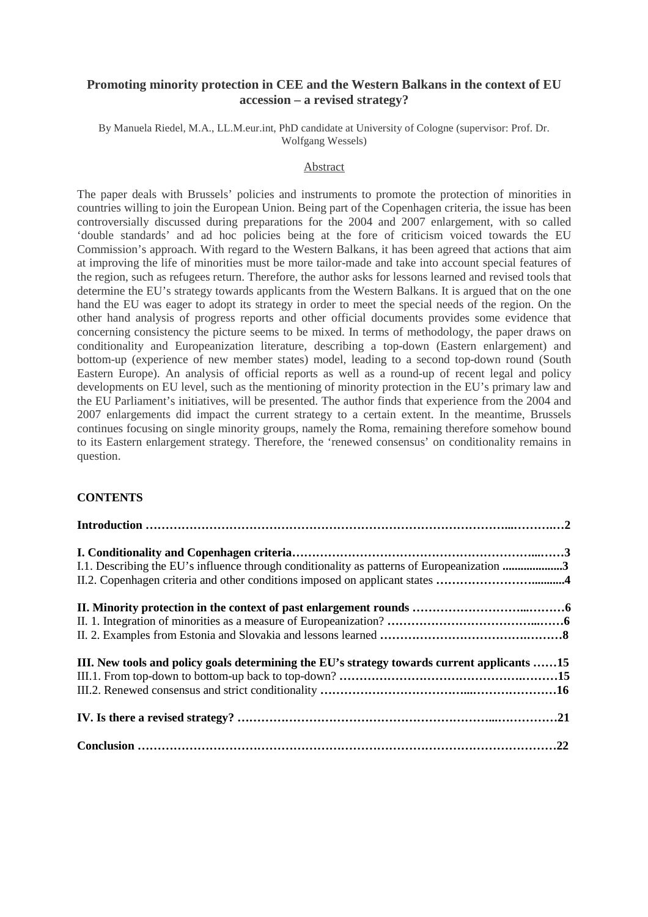# **Promoting minority protection in CEE and the Western Balkans in the context of EU accession – a revised strategy?**

By Manuela Riedel, M.A., LL.M.eur.int, PhD candidate at University of Cologne (supervisor: Prof. Dr. Wolfgang Wessels)

#### Abstract

The paper deals with Brussels' policies and instruments to promote the protection of minorities in countries willing to join the European Union. Being part of the Copenhagen criteria, the issue has been controversially discussed during preparations for the 2004 and 2007 enlargement, with so called 'double standards' and ad hoc policies being at the fore of criticism voiced towards the EU Commission's approach. With regard to the Western Balkans, it has been agreed that actions that aim at improving the life of minorities must be more tailor-made and take into account special features of the region, such as refugees return. Therefore, the author asks for lessons learned and revised tools that determine the EU's strategy towards applicants from the Western Balkans. It is argued that on the one hand the EU was eager to adopt its strategy in order to meet the special needs of the region. On the other hand analysis of progress reports and other official documents provides some evidence that concerning consistency the picture seems to be mixed. In terms of methodology, the paper draws on conditionality and Europeanization literature, describing a top-down (Eastern enlargement) and bottom-up (experience of new member states) model, leading to a second top-down round (South Eastern Europe). An analysis of official reports as well as a round-up of recent legal and policy developments on EU level, such as the mentioning of minority protection in the EU's primary law and the EU Parliament's initiatives, will be presented. The author finds that experience from the 2004 and 2007 enlargements did impact the current strategy to a certain extent. In the meantime, Brussels continues focusing on single minority groups, namely the Roma, remaining therefore somehow bound to its Eastern enlargement strategy. Therefore, the 'renewed consensus' on conditionality remains in question.

### **CONTENTS**

| I.1. Describing the EU's influence through conditionality as patterns of Europeanization 3  |  |
|---------------------------------------------------------------------------------------------|--|
|                                                                                             |  |
|                                                                                             |  |
|                                                                                             |  |
|                                                                                             |  |
| III. New tools and policy goals determining the EU's strategy towards current applicants 15 |  |
|                                                                                             |  |
|                                                                                             |  |
|                                                                                             |  |
|                                                                                             |  |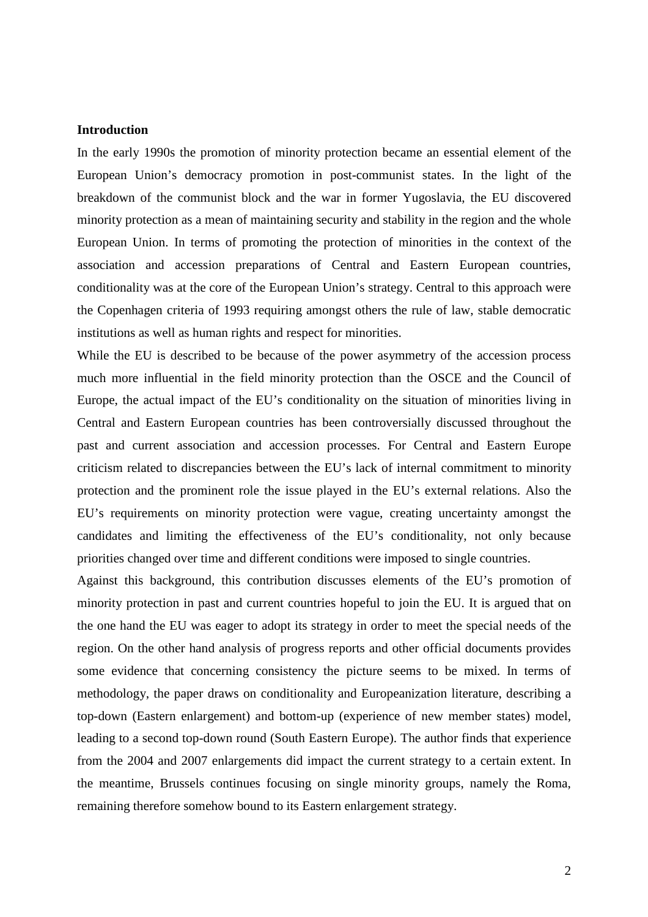# **Introduction**

In the early 1990s the promotion of minority protection became an essential element of the European Union's democracy promotion in post-communist states. In the light of the breakdown of the communist block and the war in former Yugoslavia, the EU discovered minority protection as a mean of maintaining security and stability in the region and the whole European Union. In terms of promoting the protection of minorities in the context of the association and accession preparations of Central and Eastern European countries, conditionality was at the core of the European Union's strategy. Central to this approach were the Copenhagen criteria of 1993 requiring amongst others the rule of law, stable democratic institutions as well as human rights and respect for minorities.

While the EU is described to be because of the power asymmetry of the accession process much more influential in the field minority protection than the OSCE and the Council of Europe, the actual impact of the EU's conditionality on the situation of minorities living in Central and Eastern European countries has been controversially discussed throughout the past and current association and accession processes. For Central and Eastern Europe criticism related to discrepancies between the EU's lack of internal commitment to minority protection and the prominent role the issue played in the EU's external relations. Also the EU's requirements on minority protection were vague, creating uncertainty amongst the candidates and limiting the effectiveness of the EU's conditionality, not only because priorities changed over time and different conditions were imposed to single countries.

Against this background, this contribution discusses elements of the EU's promotion of minority protection in past and current countries hopeful to join the EU. It is argued that on the one hand the EU was eager to adopt its strategy in order to meet the special needs of the region. On the other hand analysis of progress reports and other official documents provides some evidence that concerning consistency the picture seems to be mixed. In terms of methodology, the paper draws on conditionality and Europeanization literature, describing a top-down (Eastern enlargement) and bottom-up (experience of new member states) model, leading to a second top-down round (South Eastern Europe). The author finds that experience from the 2004 and 2007 enlargements did impact the current strategy to a certain extent. In the meantime, Brussels continues focusing on single minority groups, namely the Roma, remaining therefore somehow bound to its Eastern enlargement strategy.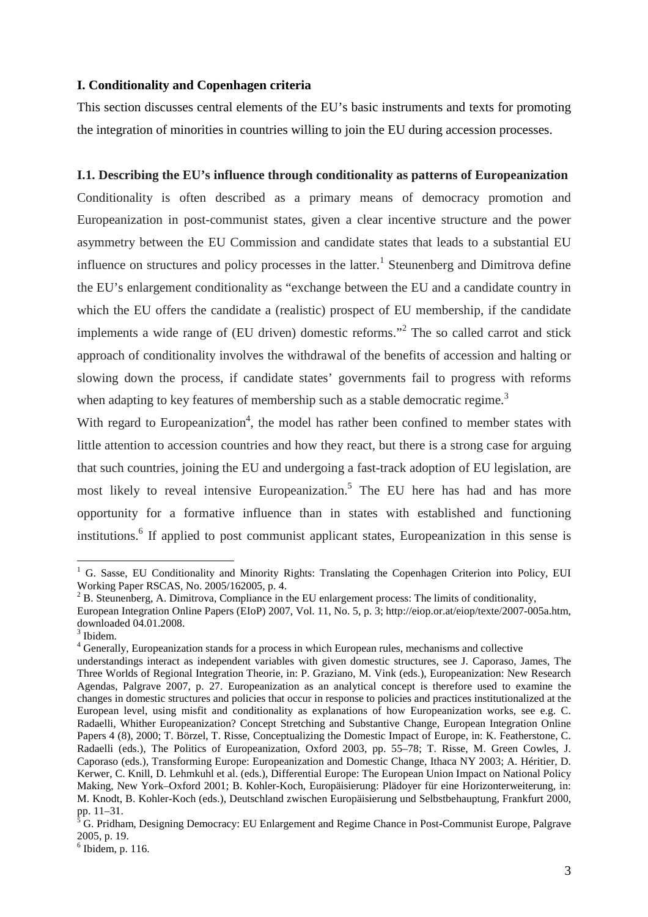# **I. Conditionality and Copenhagen criteria**

This section discusses central elements of the EU's basic instruments and texts for promoting the integration of minorities in countries willing to join the EU during accession processes.

# **I.1. Describing the EU's influence through conditionality as patterns of Europeanization**

Conditionality is often described as a primary means of democracy promotion and Europeanization in post-communist states, given a clear incentive structure and the power asymmetry between the EU Commission and candidate states that leads to a substantial EU influence on structures and policy processes in the latter.<sup>1</sup> Steunenberg and Dimitrova define the EU's enlargement conditionality as "exchange between the EU and a candidate country in which the EU offers the candidate a (realistic) prospect of EU membership, if the candidate implements a wide range of (EU driven) domestic reforms."<sup>2</sup> The so called carrot and stick approach of conditionality involves the withdrawal of the benefits of accession and halting or slowing down the process, if candidate states' governments fail to progress with reforms when adapting to key features of membership such as a stable democratic regime.<sup>3</sup>

With regard to Europeanization<sup>4</sup>, the model has rather been confined to member states with little attention to accession countries and how they react, but there is a strong case for arguing that such countries, joining the EU and undergoing a fast-track adoption of EU legislation, are most likely to reveal intensive Europeanization.<sup>5</sup> The EU here has had and has more opportunity for a formative influence than in states with established and functioning institutions.<sup>6</sup> If applied to post communist applicant states, Europeanization in this sense is

<sup>&</sup>lt;sup>1</sup> G. Sasse, EU Conditionality and Minority Rights: Translating the Copenhagen Criterion into Policy, EUI Working Paper RSCAS, No. 2005/162005, p. 4.

 $2^2$  B. Steunenberg, A. Dimitrova, Compliance in the EU enlargement process: The limits of conditionality,

European Integration Online Papers (EIoP) 2007, Vol. 11, No. 5, p. 3; http://eiop.or.at/eiop/texte/2007-005a.htm, downloaded 04.01.2008.

<sup>&</sup>lt;sup>3</sup> Ibidem.

<sup>&</sup>lt;sup>4</sup> Generally, Europeanization stands for a process in which European rules, mechanisms and collective

understandings interact as independent variables with given domestic structures, see J. Caporaso, James, The Three Worlds of Regional Integration Theorie, in: P. Graziano, M. Vink (eds.), Europeanization: New Research Agendas, Palgrave 2007, p. 27. Europeanization as an analytical concept is therefore used to examine the changes in domestic structures and policies that occur in response to policies and practices institutionalized at the European level, using misfit and conditionality as explanations of how Europeanization works, see e.g. C. Radaelli, Whither Europeanization? Concept Stretching and Substantive Change, European Integration Online Papers 4 (8), 2000; T. Börzel, T. Risse, Conceptualizing the Domestic Impact of Europe, in: K. Featherstone, C. Radaelli (eds.), The Politics of Europeanization, Oxford 2003, pp. 55–78; T. Risse, M. Green Cowles, J. Caporaso (eds.), Transforming Europe: Europeanization and Domestic Change, Ithaca NY 2003; A. Héritier, D. Kerwer, C. Knill, D. Lehmkuhl et al. (eds.), Differential Europe: The European Union Impact on National Policy Making, New York–Oxford 2001; B. Kohler-Koch, Europäisierung: Plädoyer für eine Horizonterweiterung, in: M. Knodt, B. Kohler-Koch (eds.), Deutschland zwischen Europäisierung und Selbstbehauptung, Frankfurt 2000, pp. 11–31.<br><sup>5</sup> G. Pridham, Designing Democracy: EU Enlargement and Regime Chance in Post-Communist Europe, Palgrave

<sup>2005,</sup> p. 19.

 $<sup>6</sup>$  Ibidem, p. 116.</sup>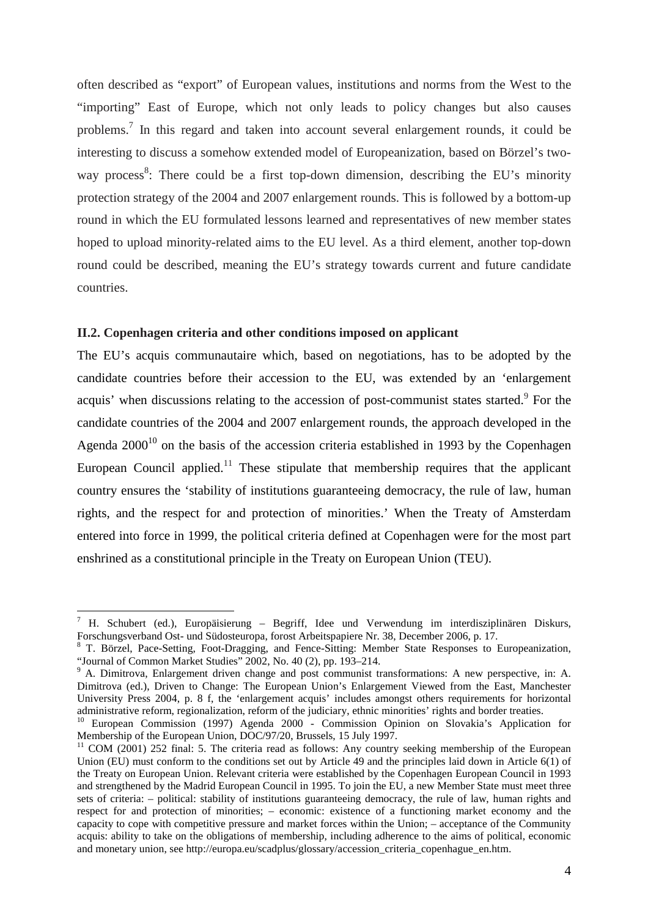often described as "export" of European values, institutions and norms from the West to the "importing" East of Europe, which not only leads to policy changes but also causes problems.<sup>7</sup> In this regard and taken into account several enlargement rounds, it could be interesting to discuss a somehow extended model of Europeanization, based on Börzel's twoway process<sup>8</sup>: There could be a first top-down dimension, describing the EU's minority protection strategy of the 2004 and 2007 enlargement rounds. This is followed by a bottom-up round in which the EU formulated lessons learned and representatives of new member states hoped to upload minority-related aims to the EU level. As a third element, another top-down round could be described, meaning the EU's strategy towards current and future candidate countries.

#### **II.2. Copenhagen criteria and other conditions imposed on applicant**

 $\overline{a}$ 

The EU's acquis communautaire which, based on negotiations, has to be adopted by the candidate countries before their accession to the EU, was extended by an 'enlargement acquis' when discussions relating to the accession of post-communist states started.<sup>9</sup> For the candidate countries of the 2004 and 2007 enlargement rounds, the approach developed in the Agenda  $2000^{10}$  on the basis of the accession criteria established in 1993 by the Copenhagen European Council applied.<sup>11</sup> These stipulate that membership requires that the applicant country ensures the 'stability of institutions guaranteeing democracy, the rule of law, human rights, and the respect for and protection of minorities.' When the Treaty of Amsterdam entered into force in 1999, the political criteria defined at Copenhagen were for the most part enshrined as a constitutional principle in the Treaty on European Union (TEU).

<sup>&</sup>lt;sup>7</sup> H. Schubert (ed.), Europäisierung – Begriff, Idee und Verwendung im interdisziplinären Diskurs, Forschungsverband Ost- und Südosteuropa, forost Arbeitspapiere Nr. 38, December 2006, p. 17.

<sup>&</sup>lt;sup>8</sup> T. Börzel, Pace-Setting, Foot-Dragging, and Fence-Sitting: Member State Responses to Europeanization, "Journal of Common Market Studies" 2002, No. 40 (2), pp. 193–214.

<sup>&</sup>lt;sup>9</sup> A. Dimitrova, Enlargement driven change and post communist transformations: A new perspective, in: A. Dimitrova (ed.), Driven to Change: The European Union's Enlargement Viewed from the East, Manchester University Press 2004, p. 8 f, the 'enlargement acquis' includes amongst others requirements for horizontal administrative reform, regionalization, reform of the judiciary, ethnic minorities' rights and border treaties.

<sup>&</sup>lt;sup>10</sup> European Commission (1997) Agenda 2000 - Commission Opinion on Slovakia's Application for Membership of the European Union, DOC/97/20, Brussels, 15 July 1997.

 $11$  COM (2001) 252 final: 5. The criteria read as follows: Any country seeking membership of the European Union (EU) must conform to the conditions set out by Article 49 and the principles laid down in Article 6(1) of the Treaty on European Union. Relevant criteria were established by the Copenhagen European Council in 1993 and strengthened by the Madrid European Council in 1995. To join the EU, a new Member State must meet three sets of criteria: – political: stability of institutions guaranteeing democracy, the rule of law, human rights and respect for and protection of minorities; – economic: existence of a functioning market economy and the capacity to cope with competitive pressure and market forces within the Union; – acceptance of the Community acquis: ability to take on the obligations of membership, including adherence to the aims of political, economic and monetary union, see http://europa.eu/scadplus/glossary/accession\_criteria\_copenhague\_en.htm.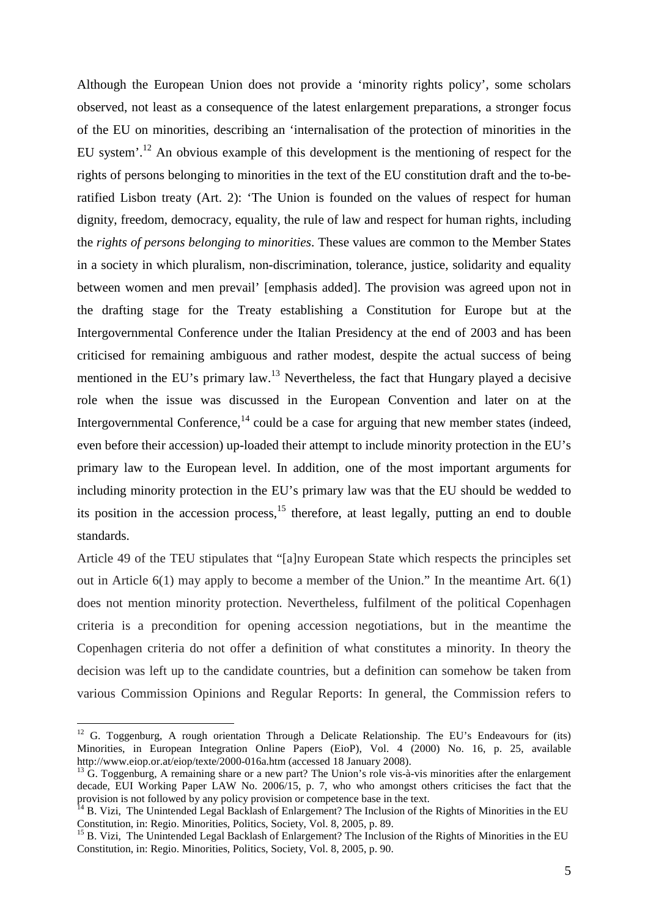Although the European Union does not provide a 'minority rights policy', some scholars observed, not least as a consequence of the latest enlargement preparations, a stronger focus of the EU on minorities, describing an 'internalisation of the protection of minorities in the EU system'.<sup>12</sup> An obvious example of this development is the mentioning of respect for the rights of persons belonging to minorities in the text of the EU constitution draft and the to-beratified Lisbon treaty (Art. 2): 'The Union is founded on the values of respect for human dignity, freedom, democracy, equality, the rule of law and respect for human rights, including the *rights of persons belonging to minorities*. These values are common to the Member States in a society in which pluralism, non-discrimination, tolerance, justice, solidarity and equality between women and men prevail' [emphasis added]. The provision was agreed upon not in the drafting stage for the Treaty establishing a Constitution for Europe but at the Intergovernmental Conference under the Italian Presidency at the end of 2003 and has been criticised for remaining ambiguous and rather modest, despite the actual success of being mentioned in the EU's primary law.<sup>13</sup> Nevertheless, the fact that Hungary played a decisive role when the issue was discussed in the European Convention and later on at the Intergovernmental Conference, $^{14}$  could be a case for arguing that new member states (indeed, even before their accession) up-loaded their attempt to include minority protection in the EU's primary law to the European level. In addition, one of the most important arguments for including minority protection in the EU's primary law was that the EU should be wedded to its position in the accession process,  $^{15}$  therefore, at least legally, putting an end to double standards.

Article 49 of the TEU stipulates that "[a]ny European State which respects the principles set out in Article 6(1) may apply to become a member of the Union." In the meantime Art. 6(1) does not mention minority protection. Nevertheless, fulfilment of the political Copenhagen criteria is a precondition for opening accession negotiations, but in the meantime the Copenhagen criteria do not offer a definition of what constitutes a minority. In theory the decision was left up to the candidate countries, but a definition can somehow be taken from various Commission Opinions and Regular Reports: In general, the Commission refers to

<sup>&</sup>lt;sup>12</sup> G. Toggenburg, A rough orientation Through a Delicate Relationship. The EU's Endeavours for (its) Minorities, in European Integration Online Papers (EioP), Vol. 4 (2000) No. 16, p. 25, available http://www.eiop.or.at/eiop/texte/2000-016a.htm (accessed 18 January 2008).

<sup>&</sup>lt;sup>13</sup> G. Toggenburg, A remaining share or a new part? The Union's role vis-à-vis minorities after the enlargement decade, EUI Working Paper LAW No. 2006/15, p. 7, who who amongst others criticises the fact that the provision is not followed by any policy provision or competence base in the text.

<sup>&</sup>lt;sup>14</sup> B. Vizi, The Unintended Legal Backlash of Enlargement? The Inclusion of the Rights of Minorities in the EU Constitution, in: Regio. Minorities, Politics, Society, Vol. 8, 2005, p. 89.

<sup>&</sup>lt;sup>15</sup> B. Vizi, The Unintended Legal Backlash of Enlargement? The Inclusion of the Rights of Minorities in the EU Constitution, in: Regio. Minorities, Politics, Society, Vol. 8, 2005, p. 90.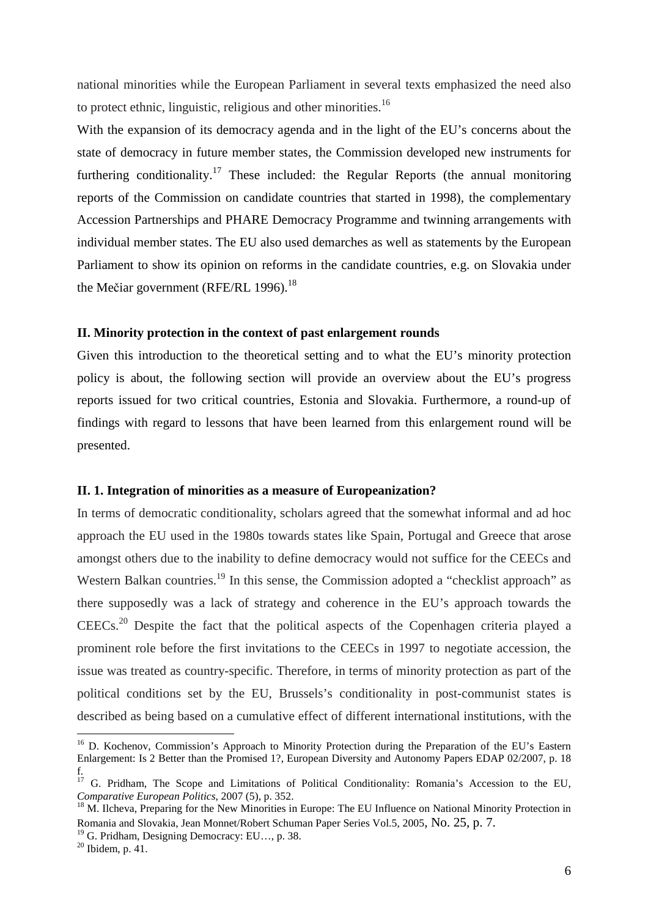national minorities while the European Parliament in several texts emphasized the need also to protect ethnic, linguistic, religious and other minorities.<sup>16</sup>

With the expansion of its democracy agenda and in the light of the EU's concerns about the state of democracy in future member states, the Commission developed new instruments for furthering conditionality.<sup>17</sup> These included: the Regular Reports (the annual monitoring reports of the Commission on candidate countries that started in 1998), the complementary Accession Partnerships and PHARE Democracy Programme and twinning arrangements with individual member states. The EU also used demarches as well as statements by the European Parliament to show its opinion on reforms in the candidate countries, e.g. on Slovakia under the Mečiar government (RFE/RL 1996).<sup>18</sup>

#### **II. Minority protection in the context of past enlargement rounds**

Given this introduction to the theoretical setting and to what the EU's minority protection policy is about, the following section will provide an overview about the EU's progress reports issued for two critical countries, Estonia and Slovakia. Furthermore, a round-up of findings with regard to lessons that have been learned from this enlargement round will be presented.

## **II. 1. Integration of minorities as a measure of Europeanization?**

In terms of democratic conditionality, scholars agreed that the somewhat informal and ad hoc approach the EU used in the 1980s towards states like Spain, Portugal and Greece that arose amongst others due to the inability to define democracy would not suffice for the CEECs and Western Balkan countries.<sup>19</sup> In this sense, the Commission adopted a "checklist approach" as there supposedly was a lack of strategy and coherence in the EU's approach towards the CEECs.<sup>20</sup> Despite the fact that the political aspects of the Copenhagen criteria played a prominent role before the first invitations to the CEECs in 1997 to negotiate accession, the issue was treated as country-specific. Therefore, in terms of minority protection as part of the political conditions set by the EU, Brussels's conditionality in post-communist states is described as being based on a cumulative effect of different international institutions, with the

<sup>&</sup>lt;sup>16</sup> D. Kochenov, Commission's Approach to Minority Protection during the Preparation of the EU's Eastern Enlargement: Is 2 Better than the Promised 1?, European Diversity and Autonomy Papers EDAP 02/2007, p. 18 f.

<sup>&</sup>lt;sup>17</sup> G. Pridham, The Scope and Limitations of Political Conditionality: Romania's Accession to the EU, *Comparative European Politics*, 2007 (5), p. 352.

<sup>&</sup>lt;sup>18</sup> M. Ilcheva, Preparing for the New Minorities in Europe: The EU Influence on National Minority Protection in Romania and Slovakia, Jean Monnet/Robert Schuman Paper Series Vol.5, 2005, No. 25, p. 7.

 $19$  G. Pridham, Designing Democracy: EU..., p. 38.

 $20$  Ibidem, p. 41.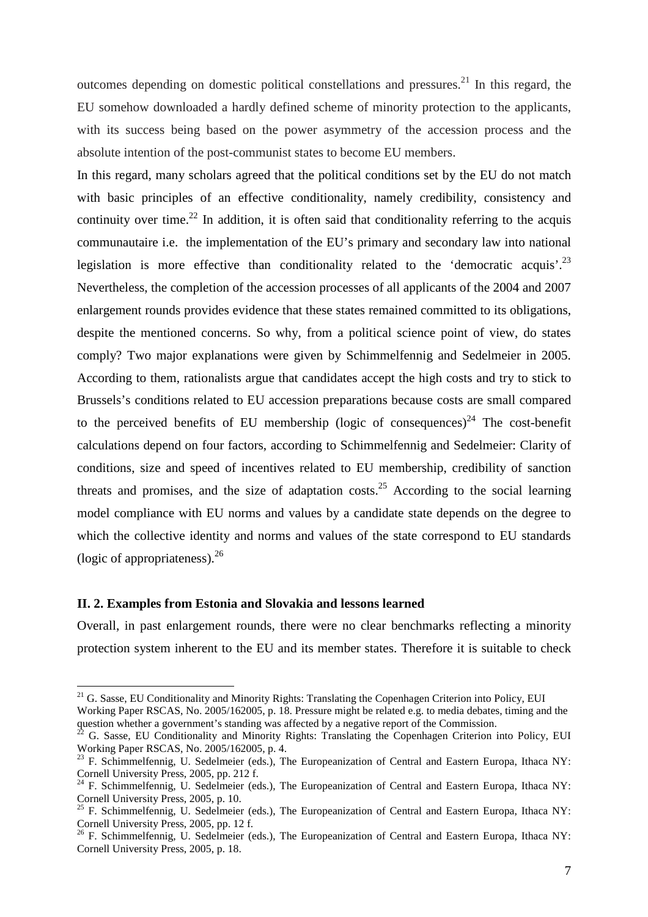outcomes depending on domestic political constellations and pressures.<sup>21</sup> In this regard, the EU somehow downloaded a hardly defined scheme of minority protection to the applicants, with its success being based on the power asymmetry of the accession process and the absolute intention of the post-communist states to become EU members.

In this regard, many scholars agreed that the political conditions set by the EU do not match with basic principles of an effective conditionality, namely credibility, consistency and continuity over time.<sup>22</sup> In addition, it is often said that conditionality referring to the acquis communautaire i.e. the implementation of the EU's primary and secondary law into national legislation is more effective than conditionality related to the 'democratic acquis'.<sup>23</sup> Nevertheless, the completion of the accession processes of all applicants of the 2004 and 2007 enlargement rounds provides evidence that these states remained committed to its obligations, despite the mentioned concerns. So why, from a political science point of view, do states comply? Two major explanations were given by Schimmelfennig and Sedelmeier in 2005. According to them, rationalists argue that candidates accept the high costs and try to stick to Brussels's conditions related to EU accession preparations because costs are small compared to the perceived benefits of EU membership (logic of consequences)<sup>24</sup> The cost-benefit calculations depend on four factors, according to Schimmelfennig and Sedelmeier: Clarity of conditions, size and speed of incentives related to EU membership, credibility of sanction threats and promises, and the size of adaptation costs.<sup>25</sup> According to the social learning model compliance with EU norms and values by a candidate state depends on the degree to which the collective identity and norms and values of the state correspond to EU standards (logic of appropriateness). $^{26}$ 

# **II. 2. Examples from Estonia and Slovakia and lessons learned**

 $\overline{a}$ 

Overall, in past enlargement rounds, there were no clear benchmarks reflecting a minority protection system inherent to the EU and its member states. Therefore it is suitable to check

<sup>&</sup>lt;sup>21</sup> G. Sasse, EU Conditionality and Minority Rights: Translating the Copenhagen Criterion into Policy, EUI

Working Paper RSCAS, No. 2005/162005, p. 18. Pressure might be related e.g. to media debates, timing and the question whether a government's standing was affected by a negative report of the Commission.

<sup>22</sup> G. Sasse, EU Conditionality and Minority Rights: Translating the Copenhagen Criterion into Policy, EUI Working Paper RSCAS, No. 2005/162005, p. 4.

<sup>&</sup>lt;sup>23</sup> F. Schimmelfennig, U. Sedelmeier (eds.), The Europeanization of Central and Eastern Europa, Ithaca NY: Cornell University Press, 2005, pp. 212 f.

<sup>&</sup>lt;sup>24</sup> F. Schimmelfennig, U. Sedelmeier (eds.), The Europeanization of Central and Eastern Europa, Ithaca NY: Cornell University Press, 2005, p. 10.

 $^{25}$  F. Schimmelfennig, U. Sedelmeier (eds.), The Europeanization of Central and Eastern Europa, Ithaca NY: Cornell University Press, 2005, pp. 12 f.

<sup>&</sup>lt;sup>26</sup> F. Schimmelfennig, U. Sedelmeier (eds.), The Europeanization of Central and Eastern Europa, Ithaca NY: Cornell University Press, 2005, p. 18.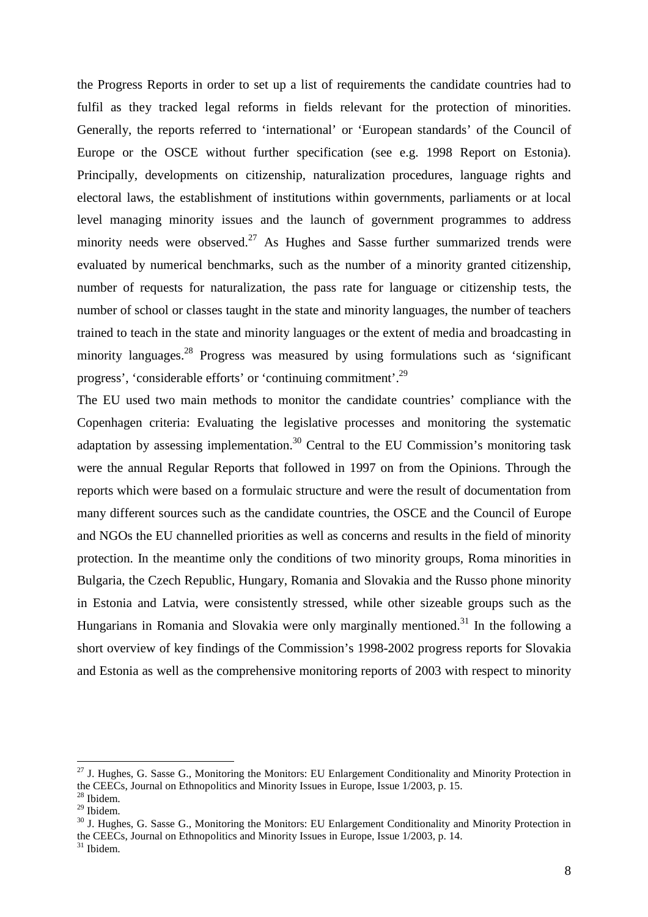the Progress Reports in order to set up a list of requirements the candidate countries had to fulfil as they tracked legal reforms in fields relevant for the protection of minorities. Generally, the reports referred to 'international' or 'European standards' of the Council of Europe or the OSCE without further specification (see e.g. 1998 Report on Estonia). Principally, developments on citizenship, naturalization procedures, language rights and electoral laws, the establishment of institutions within governments, parliaments or at local level managing minority issues and the launch of government programmes to address minority needs were observed.<sup>27</sup> As Hughes and Sasse further summarized trends were evaluated by numerical benchmarks, such as the number of a minority granted citizenship, number of requests for naturalization, the pass rate for language or citizenship tests, the number of school or classes taught in the state and minority languages, the number of teachers trained to teach in the state and minority languages or the extent of media and broadcasting in minority languages.<sup>28</sup> Progress was measured by using formulations such as 'significant progress', 'considerable efforts' or 'continuing commitment'.<sup>29</sup>

The EU used two main methods to monitor the candidate countries' compliance with the Copenhagen criteria: Evaluating the legislative processes and monitoring the systematic adaptation by assessing implementation.<sup>30</sup> Central to the EU Commission's monitoring task were the annual Regular Reports that followed in 1997 on from the Opinions. Through the reports which were based on a formulaic structure and were the result of documentation from many different sources such as the candidate countries, the OSCE and the Council of Europe and NGOs the EU channelled priorities as well as concerns and results in the field of minority protection. In the meantime only the conditions of two minority groups, Roma minorities in Bulgaria, the Czech Republic, Hungary, Romania and Slovakia and the Russo phone minority in Estonia and Latvia, were consistently stressed, while other sizeable groups such as the Hungarians in Romania and Slovakia were only marginally mentioned.<sup>31</sup> In the following a short overview of key findings of the Commission's 1998-2002 progress reports for Slovakia and Estonia as well as the comprehensive monitoring reports of 2003 with respect to minority

 $^{27}$  J. Hughes, G. Sasse G., Monitoring the Monitors: EU Enlargement Conditionality and Minority Protection in the CEECs, Journal on Ethnopolitics and Minority Issues in Europe, Issue 1/2003, p. 15.

<sup>28</sup> Ibidem.

<sup>29</sup> Ibidem.

<sup>&</sup>lt;sup>30</sup> J. Hughes, G. Sasse G., Monitoring the Monitors: EU Enlargement Conditionality and Minority Protection in the CEECs, Journal on Ethnopolitics and Minority Issues in Europe, Issue 1/2003, p. 14.

<sup>31</sup> Ibidem.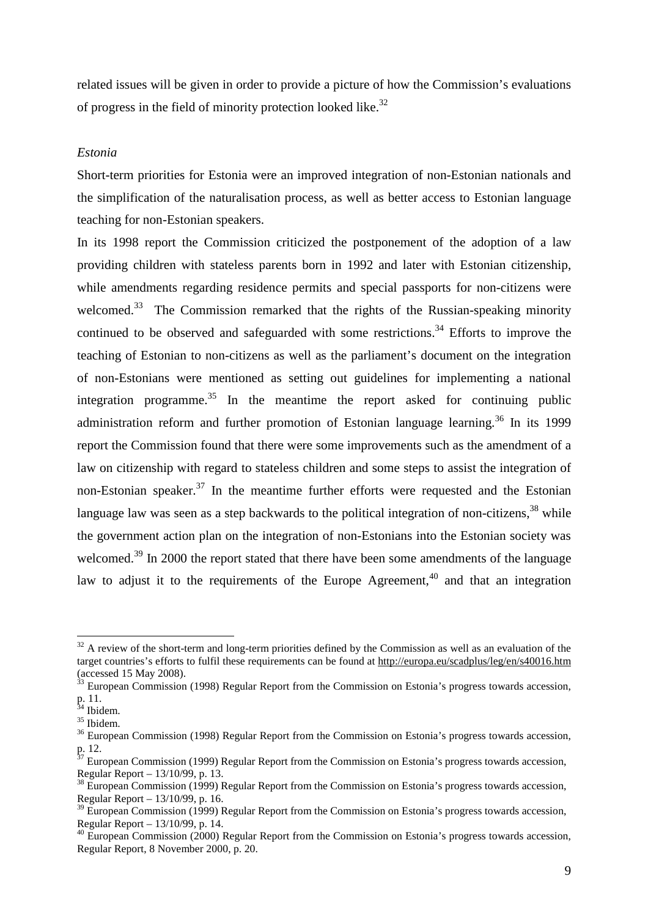related issues will be given in order to provide a picture of how the Commission's evaluations of progress in the field of minority protection looked like.<sup>32</sup>

#### *Estonia*

Short-term priorities for Estonia were an improved integration of non-Estonian nationals and the simplification of the naturalisation process, as well as better access to Estonian language teaching for non-Estonian speakers.

In its 1998 report the Commission criticized the postponement of the adoption of a law providing children with stateless parents born in 1992 and later with Estonian citizenship, while amendments regarding residence permits and special passports for non-citizens were welcomed.<sup>33</sup> The Commission remarked that the rights of the Russian-speaking minority continued to be observed and safeguarded with some restrictions.<sup>34</sup> Efforts to improve the teaching of Estonian to non-citizens as well as the parliament's document on the integration of non-Estonians were mentioned as setting out guidelines for implementing a national integration programme.<sup>35</sup> In the meantime the report asked for continuing public administration reform and further promotion of Estonian language learning.<sup>36</sup> In its 1999 report the Commission found that there were some improvements such as the amendment of a law on citizenship with regard to stateless children and some steps to assist the integration of non-Estonian speaker.<sup>37</sup> In the meantime further efforts were requested and the Estonian language law was seen as a step backwards to the political integration of non-citizens,  $38$  while the government action plan on the integration of non-Estonians into the Estonian society was welcomed.<sup>39</sup> In 2000 the report stated that there have been some amendments of the language law to adjust it to the requirements of the Europe Agreement.<sup>40</sup> and that an integration

 $32$  A review of the short-term and long-term priorities defined by the Commission as well as an evaluation of the target countries's efforts to fulfil these requirements can be found at http://europa.eu/scadplus/leg/en/s40016.htm (accessed 15 May 2008).

 $3$  European Commission (1998) Regular Report from the Commission on Estonia's progress towards accession, p. 11.

<sup>&</sup>lt;sup>34</sup> Ibidem.

<sup>35</sup> Ibidem.

<sup>&</sup>lt;sup>36</sup> European Commission (1998) Regular Report from the Commission on Estonia's progress towards accession, p. 12.

 $37$  European Commission (1999) Regular Report from the Commission on Estonia's progress towards accession, Regular Report – 13/10/99, p. 13.

<sup>&</sup>lt;sup>38</sup> European Commission (1999) Regular Report from the Commission on Estonia's progress towards accession, Regular Report – 13/10/99, p. 16.

<sup>&</sup>lt;sup>39</sup> European Commission (1999) Regular Report from the Commission on Estonia's progress towards accession, Regular Report – 13/10/99, p. 14.

<sup>&</sup>lt;sup>40</sup> European Commission (2000) Regular Report from the Commission on Estonia's progress towards accession, Regular Report, 8 November 2000, p. 20.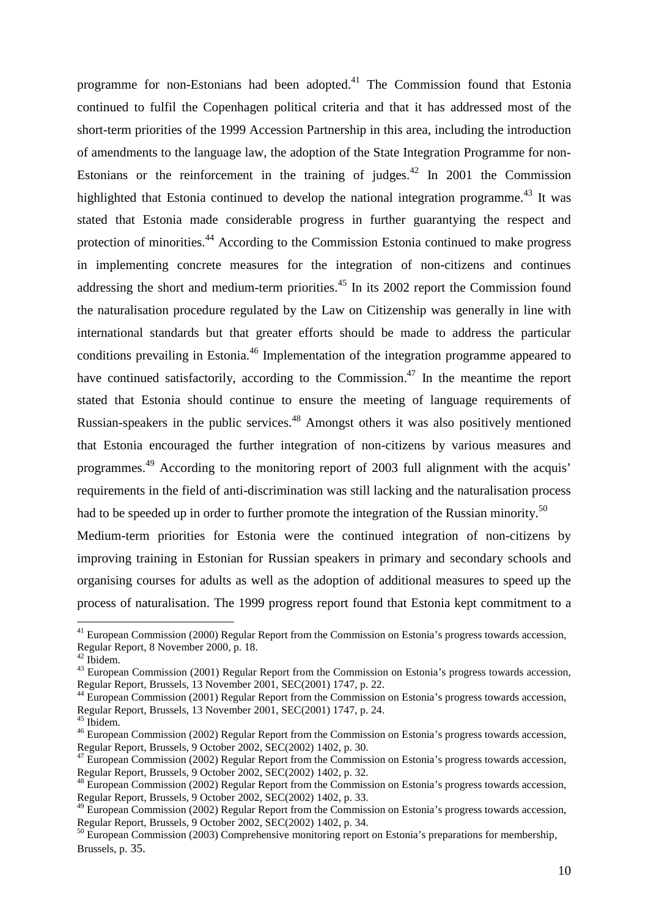programme for non-Estonians had been adopted. $41$  The Commission found that Estonia continued to fulfil the Copenhagen political criteria and that it has addressed most of the short-term priorities of the 1999 Accession Partnership in this area, including the introduction of amendments to the language law, the adoption of the State Integration Programme for non-Estonians or the reinforcement in the training of judges.<sup>42</sup> In 2001 the Commission highlighted that Estonia continued to develop the national integration programme.<sup>43</sup> It was stated that Estonia made considerable progress in further guarantying the respect and protection of minorities.<sup>44</sup> According to the Commission Estonia continued to make progress in implementing concrete measures for the integration of non-citizens and continues addressing the short and medium-term priorities.<sup>45</sup> In its 2002 report the Commission found the naturalisation procedure regulated by the Law on Citizenship was generally in line with international standards but that greater efforts should be made to address the particular conditions prevailing in Estonia.<sup>46</sup> Implementation of the integration programme appeared to have continued satisfactorily, according to the Commission.<sup>47</sup> In the meantime the report stated that Estonia should continue to ensure the meeting of language requirements of Russian-speakers in the public services.<sup>48</sup> Amongst others it was also positively mentioned that Estonia encouraged the further integration of non-citizens by various measures and programmes.<sup>49</sup> According to the monitoring report of 2003 full alignment with the acquis' requirements in the field of anti-discrimination was still lacking and the naturalisation process had to be speeded up in order to further promote the integration of the Russian minority.<sup>50</sup>

Medium-term priorities for Estonia were the continued integration of non-citizens by improving training in Estonian for Russian speakers in primary and secondary schools and organising courses for adults as well as the adoption of additional measures to speed up the process of naturalisation. The 1999 progress report found that Estonia kept commitment to a

 $^{41}$  European Commission (2000) Regular Report from the Commission on Estonia's progress towards accession, Regular Report, 8 November 2000, p. 18.

<sup>42</sup> Ibidem.

<sup>&</sup>lt;sup>43</sup> European Commission (2001) Regular Report from the Commission on Estonia's progress towards accession, Regular Report, Brussels, 13 November 2001, SEC(2001) 1747, p. 22.

<sup>&</sup>lt;sup>44</sup> European Commission (2001) Regular Report from the Commission on Estonia's progress towards accession, Regular Report, Brussels, 13 November 2001, SEC(2001) 1747, p. 24.

 $5$  Ibidem.

<sup>&</sup>lt;sup>46</sup> European Commission (2002) Regular Report from the Commission on Estonia's progress towards accession, Regular Report, Brussels, 9 October 2002, SEC(2002) 1402, p. 30.

 $47$  European Commission (2002) Regular Report from the Commission on Estonia's progress towards accession, Regular Report, Brussels, 9 October 2002, SEC(2002) 1402, p. 32.

<sup>48</sup> European Commission (2002) Regular Report from the Commission on Estonia's progress towards accession, Regular Report, Brussels, 9 October 2002, SEC(2002) 1402, p. 33.

<sup>&</sup>lt;sup>49</sup> European Commission (2002) Regular Report from the Commission on Estonia's progress towards accession, Regular Report, Brussels, 9 October 2002, SEC(2002) 1402, p. 34.

<sup>50</sup> European Commission (2003) Comprehensive monitoring report on Estonia's preparations for membership, Brussels, p. 35.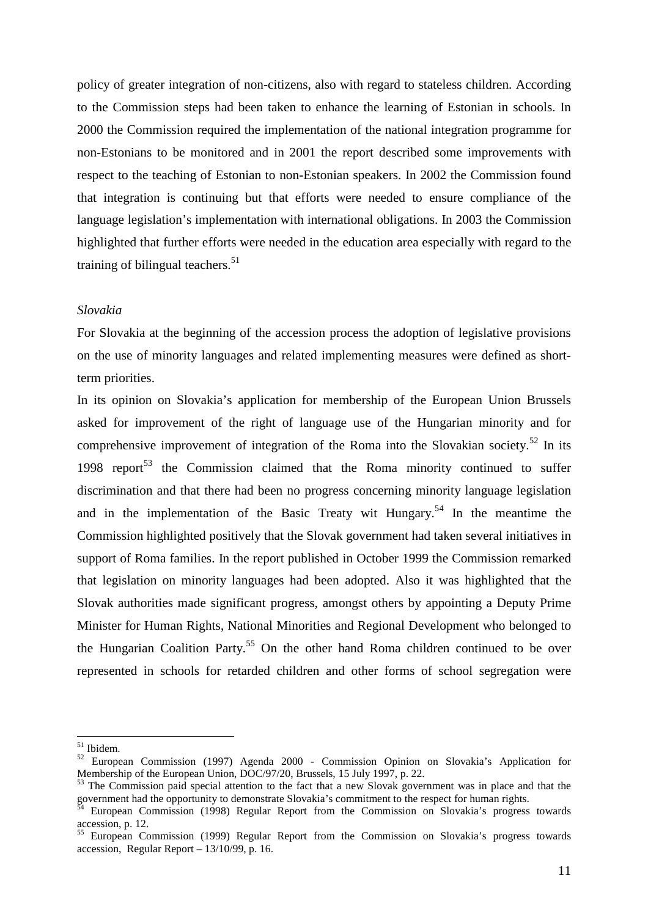policy of greater integration of non-citizens, also with regard to stateless children. According to the Commission steps had been taken to enhance the learning of Estonian in schools. In 2000 the Commission required the implementation of the national integration programme for non-Estonians to be monitored and in 2001 the report described some improvements with respect to the teaching of Estonian to non-Estonian speakers. In 2002 the Commission found that integration is continuing but that efforts were needed to ensure compliance of the language legislation's implementation with international obligations. In 2003 the Commission highlighted that further efforts were needed in the education area especially with regard to the training of bilingual teachers.<sup>51</sup>

## *Slovakia*

For Slovakia at the beginning of the accession process the adoption of legislative provisions on the use of minority languages and related implementing measures were defined as shortterm priorities.

In its opinion on Slovakia's application for membership of the European Union Brussels asked for improvement of the right of language use of the Hungarian minority and for comprehensive improvement of integration of the Roma into the Slovakian society.<sup>52</sup> In its 1998 report<sup>53</sup> the Commission claimed that the Roma minority continued to suffer discrimination and that there had been no progress concerning minority language legislation and in the implementation of the Basic Treaty wit Hungary.<sup>54</sup> In the meantime the Commission highlighted positively that the Slovak government had taken several initiatives in support of Roma families. In the report published in October 1999 the Commission remarked that legislation on minority languages had been adopted. Also it was highlighted that the Slovak authorities made significant progress, amongst others by appointing a Deputy Prime Minister for Human Rights, National Minorities and Regional Development who belonged to the Hungarian Coalition Party.<sup>55</sup> On the other hand Roma children continued to be over represented in schools for retarded children and other forms of school segregation were

<sup>51</sup> Ibidem.

<sup>52</sup> European Commission (1997) Agenda 2000 - Commission Opinion on Slovakia's Application for Membership of the European Union, DOC/97/20, Brussels, 15 July 1997, p. 22.

 $53$  The Commission paid special attention to the fact that a new Slovak government was in place and that the government had the opportunity to demonstrate Slovakia's commitment to the respect for human rights.

 $54$  European Commission (1998) Regular Report from the Commission on Slovakia's progress towards accession, p. 12.

<sup>&</sup>lt;sup>55</sup> European Commission (1999) Regular Report from the Commission on Slovakia's progress towards accession, Regular Report – 13/10/99, p. 16.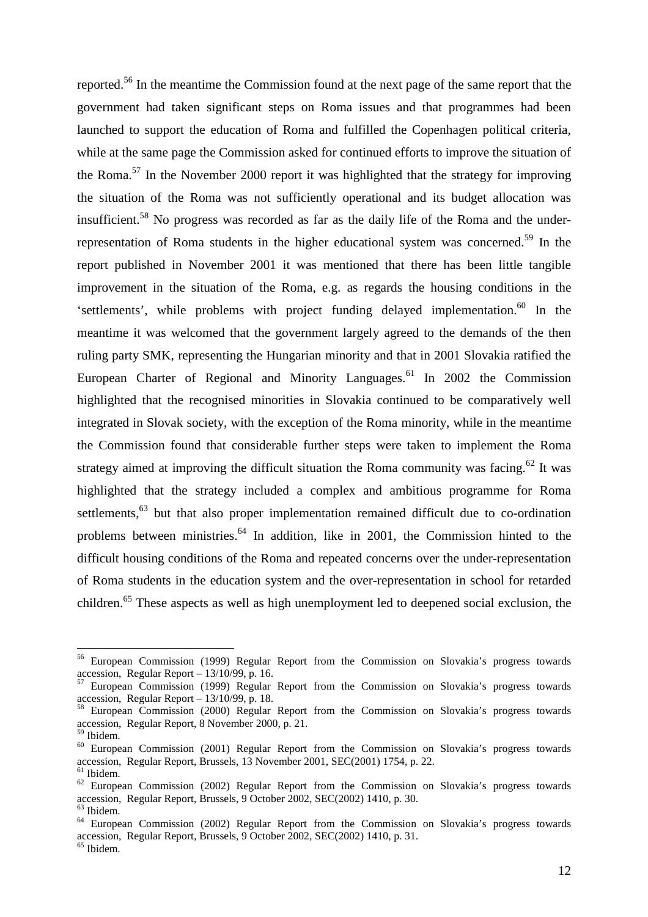reported.<sup>56</sup> In the meantime the Commission found at the next page of the same report that the government had taken significant steps on Roma issues and that programmes had been launched to support the education of Roma and fulfilled the Copenhagen political criteria, while at the same page the Commission asked for continued efforts to improve the situation of the Roma.<sup>57</sup> In the November 2000 report it was highlighted that the strategy for improving the situation of the Roma was not sufficiently operational and its budget allocation was insufficient.<sup>58</sup> No progress was recorded as far as the daily life of the Roma and the underrepresentation of Roma students in the higher educational system was concerned.<sup>59</sup> In the report published in November 2001 it was mentioned that there has been little tangible improvement in the situation of the Roma, e.g. as regards the housing conditions in the 'settlements', while problems with project funding delayed implementation.<sup>60</sup> In the meantime it was welcomed that the government largely agreed to the demands of the then ruling party SMK, representing the Hungarian minority and that in 2001 Slovakia ratified the European Charter of Regional and Minority Languages.<sup>61</sup> In 2002 the Commission highlighted that the recognised minorities in Slovakia continued to be comparatively well integrated in Slovak society, with the exception of the Roma minority, while in the meantime the Commission found that considerable further steps were taken to implement the Roma strategy aimed at improving the difficult situation the Roma community was facing.<sup>62</sup> It was highlighted that the strategy included a complex and ambitious programme for Roma settlements,<sup>63</sup> but that also proper implementation remained difficult due to co-ordination problems between ministries.<sup>64</sup> In addition, like in 2001, the Commission hinted to the difficult housing conditions of the Roma and repeated concerns over the under-representation of Roma students in the education system and the over-representation in school for retarded children.<sup>65</sup> These aspects as well as high unemployment led to deepened social exclusion, the

<sup>56</sup> European Commission (1999) Regular Report from the Commission on Slovakia's progress towards accession, Regular Report –  $13/10/99$ , p. 16.

<sup>57</sup> European Commission (1999) Regular Report from the Commission on Slovakia's progress towards accession, Regular Report – 13/10/99, p. 18.

<sup>58</sup> European Commission (2000) Regular Report from the Commission on Slovakia's progress towards accession, Regular Report, 8 November 2000, p. 21.

<sup>59</sup> Ibidem.

<sup>60</sup> European Commission (2001) Regular Report from the Commission on Slovakia's progress towards accession, Regular Report, Brussels, 13 November 2001, SEC(2001) 1754, p. 22.

 $<sup>61</sup>$  Ibidem.</sup>

 $62$  European Commission (2002) Regular Report from the Commission on Slovakia's progress towards accession, Regular Report, Brussels, 9 October 2002, SEC(2002) 1410, p. 30.

<sup>63</sup> Ibidem.

<sup>&</sup>lt;sup>64</sup> European Commission (2002) Regular Report from the Commission on Slovakia's progress towards accession, Regular Report, Brussels, 9 October 2002, SEC(2002) 1410, p. 31.

<sup>&</sup>lt;sup>65</sup> Ibidem.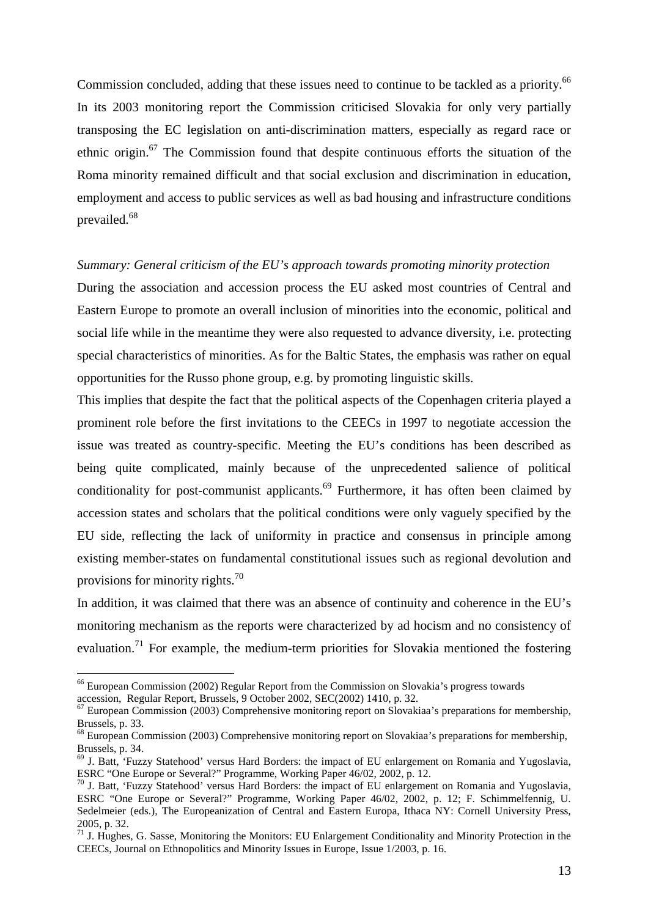Commission concluded, adding that these issues need to continue to be tackled as a priority.<sup>66</sup> In its 2003 monitoring report the Commission criticised Slovakia for only very partially transposing the EC legislation on anti-discrimination matters, especially as regard race or ethnic origin.<sup>67</sup> The Commission found that despite continuous efforts the situation of the Roma minority remained difficult and that social exclusion and discrimination in education, employment and access to public services as well as bad housing and infrastructure conditions prevailed.<sup>68</sup>

#### *Summary: General criticism of the EU's approach towards promoting minority protection*

During the association and accession process the EU asked most countries of Central and Eastern Europe to promote an overall inclusion of minorities into the economic, political and social life while in the meantime they were also requested to advance diversity, i.e. protecting special characteristics of minorities. As for the Baltic States, the emphasis was rather on equal opportunities for the Russo phone group, e.g. by promoting linguistic skills.

This implies that despite the fact that the political aspects of the Copenhagen criteria played a prominent role before the first invitations to the CEECs in 1997 to negotiate accession the issue was treated as country-specific. Meeting the EU's conditions has been described as being quite complicated, mainly because of the unprecedented salience of political conditionality for post-communist applicants.<sup>69</sup> Furthermore, it has often been claimed by accession states and scholars that the political conditions were only vaguely specified by the EU side, reflecting the lack of uniformity in practice and consensus in principle among existing member-states on fundamental constitutional issues such as regional devolution and provisions for minority rights.<sup>70</sup>

In addition, it was claimed that there was an absence of continuity and coherence in the EU's monitoring mechanism as the reports were characterized by ad hocism and no consistency of evaluation.<sup>71</sup> For example, the medium-term priorities for Slovakia mentioned the fostering

<sup>66</sup> European Commission (2002) Regular Report from the Commission on Slovakia's progress towards accession, Regular Report, Brussels, 9 October 2002, SEC(2002) 1410, p. 32.

 $<sup>67</sup>$  European Commission (2003) Comprehensive monitoring report on Slovakiaa's preparations for membership,</sup> Brussels, p. 33.

<sup>&</sup>lt;sup>68</sup> European Commission (2003) Comprehensive monitoring report on Slovakiaa's preparations for membership, Brussels, p. 34.

 $69$  J. Batt, 'Fuzzy Statehood' versus Hard Borders: the impact of EU enlargement on Romania and Yugoslavia, ESRC "One Europe or Several?" Programme, Working Paper 46/02, 2002, p. 12.

<sup>&</sup>lt;sup>70</sup> J. Batt, 'Fuzzy Statehood' versus Hard Borders: the impact of EU enlargement on Romania and Yugoslavia, ESRC "One Europe or Several?" Programme, Working Paper 46/02, 2002, p. 12; F. Schimmelfennig, U. Sedelmeier (eds.), The Europeanization of Central and Eastern Europa, Ithaca NY: Cornell University Press, 2005, p. 32.

<sup>&</sup>lt;sup>71</sup> J. Hughes, G. Sasse, Monitoring the Monitors: EU Enlargement Conditionality and Minority Protection in the CEECs, Journal on Ethnopolitics and Minority Issues in Europe, Issue 1/2003, p. 16.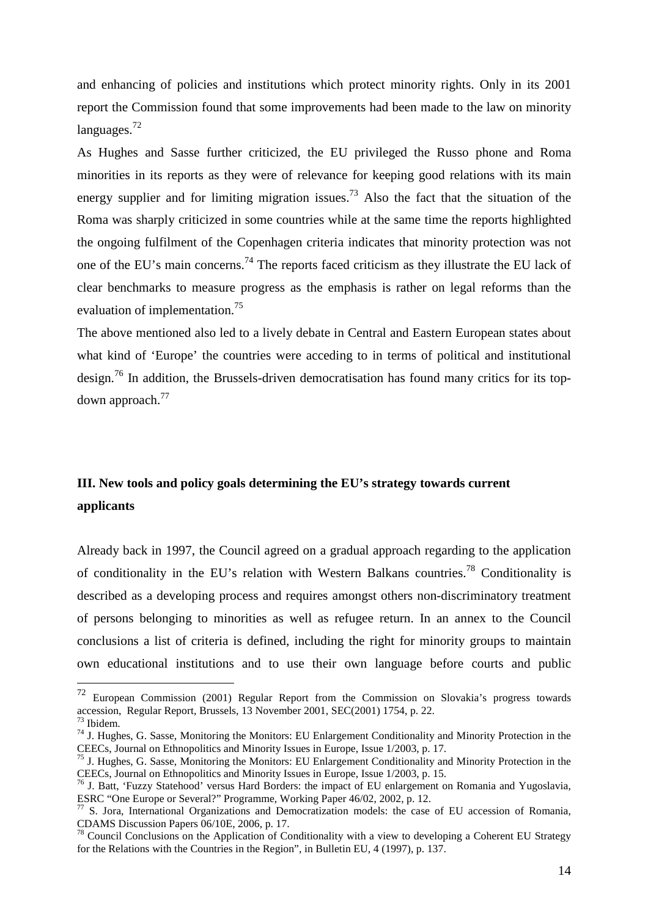and enhancing of policies and institutions which protect minority rights. Only in its 2001 report the Commission found that some improvements had been made to the law on minority languages.<sup>72</sup>

As Hughes and Sasse further criticized, the EU privileged the Russo phone and Roma minorities in its reports as they were of relevance for keeping good relations with its main energy supplier and for limiting migration issues.<sup>73</sup> Also the fact that the situation of the Roma was sharply criticized in some countries while at the same time the reports highlighted the ongoing fulfilment of the Copenhagen criteria indicates that minority protection was not one of the EU's main concerns.<sup>74</sup> The reports faced criticism as they illustrate the EU lack of clear benchmarks to measure progress as the emphasis is rather on legal reforms than the evaluation of implementation.<sup>75</sup>

The above mentioned also led to a lively debate in Central and Eastern European states about what kind of 'Europe' the countries were acceding to in terms of political and institutional design.<sup>76</sup> In addition, the Brussels-driven democratisation has found many critics for its topdown approach.<sup>77</sup>

# **III. New tools and policy goals determining the EU's strategy towards current applicants**

Already back in 1997, the Council agreed on a gradual approach regarding to the application of conditionality in the EU's relation with Western Balkans countries.<sup>78</sup> Conditionality is described as a developing process and requires amongst others non-discriminatory treatment of persons belonging to minorities as well as refugee return. In an annex to the Council conclusions a list of criteria is defined, including the right for minority groups to maintain own educational institutions and to use their own language before courts and public

<sup>72</sup> European Commission (2001) Regular Report from the Commission on Slovakia's progress towards accession, Regular Report, Brussels, 13 November 2001, SEC(2001) 1754, p. 22.  $3$  Ibidem.

<sup>74</sup> J. Hughes, G. Sasse, Monitoring the Monitors: EU Enlargement Conditionality and Minority Protection in the CEECs, Journal on Ethnopolitics and Minority Issues in Europe, Issue 1/2003, p. 17.

<sup>75</sup> J. Hughes, G. Sasse, Monitoring the Monitors: EU Enlargement Conditionality and Minority Protection in the CEECs, Journal on Ethnopolitics and Minority Issues in Europe, Issue 1/2003, p. 15.

<sup>76</sup> J. Batt, 'Fuzzy Statehood' versus Hard Borders: the impact of EU enlargement on Romania and Yugoslavia, ESRC "One Europe or Several?" Programme, Working Paper 46/02, 2002, p. 12.

<sup>&</sup>lt;sup>77</sup> S. Jora, International Organizations and Democratization models: the case of EU accession of Romania, CDAMS Discussion Papers 06/10E, 2006, p. 17.

<sup>&</sup>lt;sup>78</sup> Council Conclusions on the Application of Conditionality with a view to developing a Coherent EU Strategy for the Relations with the Countries in the Region", in Bulletin EU, 4 (1997), p. 137.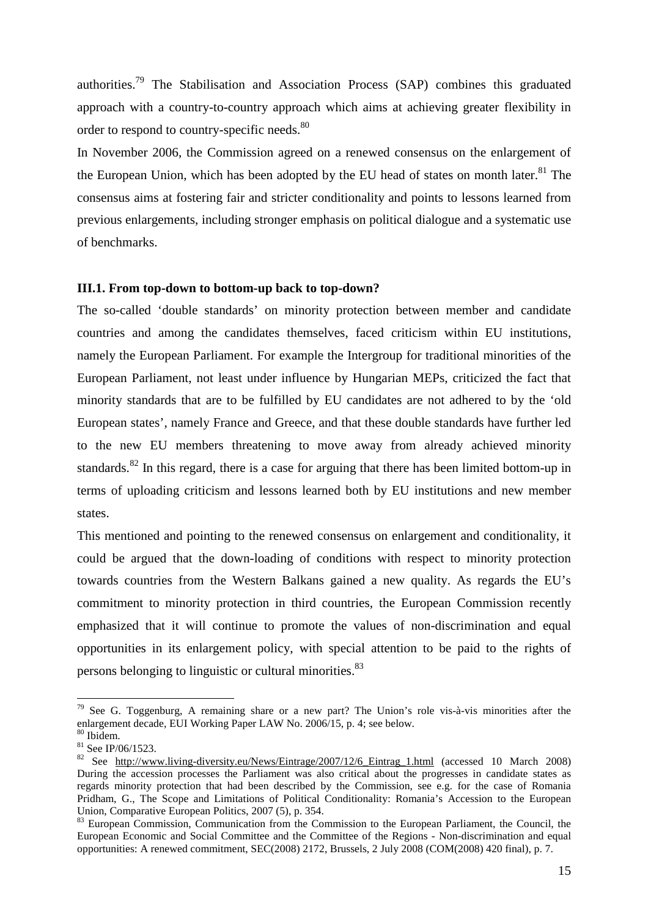authorities.<sup>79</sup> The Stabilisation and Association Process (SAP) combines this graduated approach with a country-to-country approach which aims at achieving greater flexibility in order to respond to country-specific needs.<sup>80</sup>

In November 2006, the Commission agreed on a renewed consensus on the enlargement of the European Union, which has been adopted by the EU head of states on month later.<sup>81</sup> The consensus aims at fostering fair and stricter conditionality and points to lessons learned from previous enlargements, including stronger emphasis on political dialogue and a systematic use of benchmarks.

## **III.1. From top-down to bottom-up back to top-down?**

The so-called 'double standards' on minority protection between member and candidate countries and among the candidates themselves, faced criticism within EU institutions, namely the European Parliament. For example the Intergroup for traditional minorities of the European Parliament, not least under influence by Hungarian MEPs, criticized the fact that minority standards that are to be fulfilled by EU candidates are not adhered to by the 'old European states', namely France and Greece, and that these double standards have further led to the new EU members threatening to move away from already achieved minority standards.<sup>82</sup> In this regard, there is a case for arguing that there has been limited bottom-up in terms of uploading criticism and lessons learned both by EU institutions and new member states.

This mentioned and pointing to the renewed consensus on enlargement and conditionality, it could be argued that the down-loading of conditions with respect to minority protection towards countries from the Western Balkans gained a new quality. As regards the EU's commitment to minority protection in third countries, the European Commission recently emphasized that it will continue to promote the values of non-discrimination and equal opportunities in its enlargement policy, with special attention to be paid to the rights of persons belonging to linguistic or cultural minorities.<sup>83</sup>

 $79$  See G. Toggenburg, A remaining share or a new part? The Union's role vis-à-vis minorities after the enlargement decade, EUI Working Paper LAW No. 2006/15, p. 4; see below.

<sup>80</sup> Ibidem.

<sup>81</sup> See IP/06/1523.

<sup>&</sup>lt;sup>82</sup> See http://www.living-diversity.eu/News/Eintrage/2007/12/6\_Eintrag\_1.html (accessed 10 March 2008) During the accession processes the Parliament was also critical about the progresses in candidate states as regards minority protection that had been described by the Commission, see e.g. for the case of Romania Pridham, G., The Scope and Limitations of Political Conditionality: Romania's Accession to the European Union, Comparative European Politics, 2007 (5), p. 354.

<sup>&</sup>lt;sup>83</sup> European Commission, Communication from the Commission to the European Parliament, the Council, the European Economic and Social Committee and the Committee of the Regions - Non-discrimination and equal opportunities: A renewed commitment, SEC(2008) 2172, Brussels, 2 July 2008 (COM(2008) 420 final), p. 7.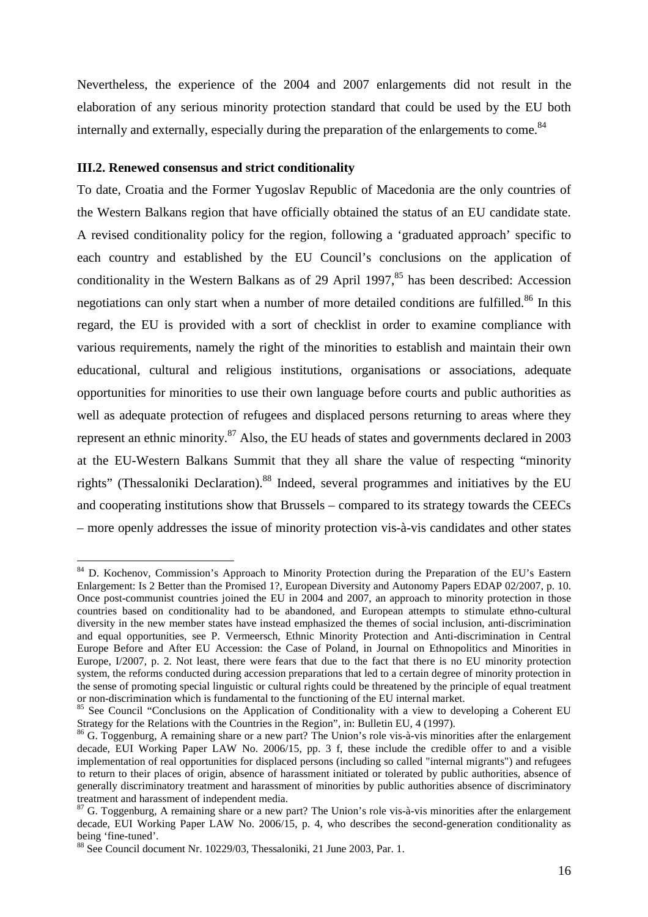Nevertheless, the experience of the 2004 and 2007 enlargements did not result in the elaboration of any serious minority protection standard that could be used by the EU both internally and externally, especially during the preparation of the enlargements to come.<sup>84</sup>

## **III.2. Renewed consensus and strict conditionality**

 $\overline{a}$ 

To date, Croatia and the Former Yugoslav Republic of Macedonia are the only countries of the Western Balkans region that have officially obtained the status of an EU candidate state. A revised conditionality policy for the region, following a 'graduated approach' specific to each country and established by the EU Council's conclusions on the application of conditionality in the Western Balkans as of 29 April 1997, $85$  has been described: Accession negotiations can only start when a number of more detailed conditions are fulfilled.<sup>86</sup> In this regard, the EU is provided with a sort of checklist in order to examine compliance with various requirements, namely the right of the minorities to establish and maintain their own educational, cultural and religious institutions, organisations or associations, adequate opportunities for minorities to use their own language before courts and public authorities as well as adequate protection of refugees and displaced persons returning to areas where they represent an ethnic minority.<sup>87</sup> Also, the EU heads of states and governments declared in 2003 at the EU-Western Balkans Summit that they all share the value of respecting "minority rights" (Thessaloniki Declaration).<sup>88</sup> Indeed, several programmes and initiatives by the EU and cooperating institutions show that Brussels – compared to its strategy towards the CEECs – more openly addresses the issue of minority protection vis-à-vis candidates and other states

<sup>&</sup>lt;sup>84</sup> D. Kochenov, Commission's Approach to Minority Protection during the Preparation of the EU's Eastern Enlargement: Is 2 Better than the Promised 1?, European Diversity and Autonomy Papers EDAP 02/2007, p. 10. Once post-communist countries joined the EU in 2004 and 2007, an approach to minority protection in those countries based on conditionality had to be abandoned, and European attempts to stimulate ethno-cultural diversity in the new member states have instead emphasized the themes of social inclusion, anti-discrimination and equal opportunities, see P. Vermeersch, Ethnic Minority Protection and Anti-discrimination in Central Europe Before and After EU Accession: the Case of Poland, in Journal on Ethnopolitics and Minorities in Europe, I/2007, p. 2. Not least, there were fears that due to the fact that there is no EU minority protection system, the reforms conducted during accession preparations that led to a certain degree of minority protection in the sense of promoting special linguistic or cultural rights could be threatened by the principle of equal treatment or non-discrimination which is fundamental to the functioning of the EU internal market.

<sup>&</sup>lt;sup>85</sup> See Council "Conclusions on the Application of Conditionality with a view to developing a Coherent EU Strategy for the Relations with the Countries in the Region", in: Bulletin EU, 4 (1997).

<sup>&</sup>lt;sup>86</sup> G. Toggenburg, A remaining share or a new part? The Union's role vis-à-vis minorities after the enlargement decade, EUI Working Paper LAW No. 2006/15, pp. 3 f, these include the credible offer to and a visible implementation of real opportunities for displaced persons (including so called "internal migrants") and refugees to return to their places of origin, absence of harassment initiated or tolerated by public authorities, absence of generally discriminatory treatment and harassment of minorities by public authorities absence of discriminatory treatment and harassment of independent media.

 $87$  G. Toggenburg, A remaining share or a new part? The Union's role vis-à-vis minorities after the enlargement decade, EUI Working Paper LAW No. 2006/15, p. 4, who describes the second-generation conditionality as being 'fine-tuned'.

<sup>88</sup> See Council document Nr. 10229/03, Thessaloniki, 21 June 2003, Par. 1.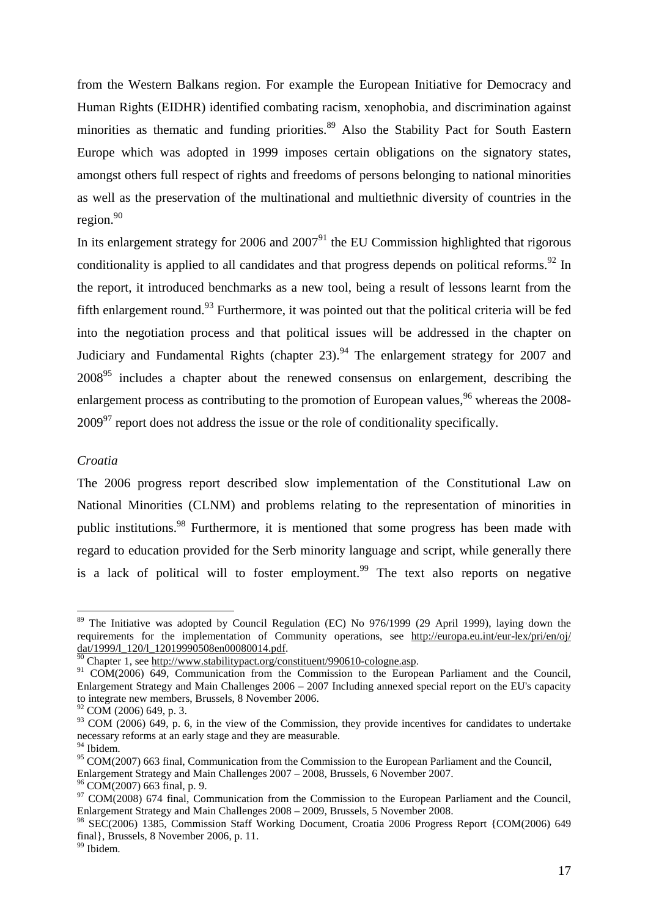from the Western Balkans region. For example the European Initiative for Democracy and Human Rights (EIDHR) identified combating racism, xenophobia, and discrimination against minorities as thematic and funding priorities.<sup>89</sup> Also the Stability Pact for South Eastern Europe which was adopted in 1999 imposes certain obligations on the signatory states, amongst others full respect of rights and freedoms of persons belonging to national minorities as well as the preservation of the multinational and multiethnic diversity of countries in the region.<sup>90</sup>

In its enlargement strategy for 2006 and  $2007<sup>91</sup>$  the EU Commission highlighted that rigorous conditionality is applied to all candidates and that progress depends on political reforms.<sup>92</sup> In the report, it introduced benchmarks as a new tool, being a result of lessons learnt from the fifth enlargement round.<sup>93</sup> Furthermore, it was pointed out that the political criteria will be fed into the negotiation process and that political issues will be addressed in the chapter on Judiciary and Fundamental Rights (chapter 23).<sup>94</sup> The enlargement strategy for 2007 and  $2008<sup>95</sup>$  includes a chapter about the renewed consensus on enlargement, describing the enlargement process as contributing to the promotion of European values,  $96$  whereas the 2008- $2009<sup>97</sup>$  report does not address the issue or the role of conditionality specifically.

# *Croatia*

 $\overline{a}$ 

The 2006 progress report described slow implementation of the Constitutional Law on National Minorities (CLNM) and problems relating to the representation of minorities in public institutions.<sup>98</sup> Furthermore, it is mentioned that some progress has been made with regard to education provided for the Serb minority language and script, while generally there is a lack of political will to foster employment.<sup>99</sup> The text also reports on negative

<sup>&</sup>lt;sup>89</sup> The Initiative was adopted by Council Regulation (EC) No 976/1999 (29 April 1999), laying down the requirements for the implementation of Community operations, see http://europa.eu.int/eur-lex/pri/en/oj/ dat/1999/l\_120/l\_12019990508en00080014.pdf.

end the constitution of the constituent of the constituent of the cologne casp.

<sup>&</sup>lt;sup>91</sup> COM(2006) 649, Communication from the Commission to the European Parliament and the Council, Enlargement Strategy and Main Challenges 2006 – 2007 Including annexed special report on the EU's capacity to integrate new members, Brussels, 8 November 2006.

 $92$  COM (2006) 649, p. 3.

 $93$  COM (2006) 649, p. 6, in the view of the Commission, they provide incentives for candidates to undertake necessary reforms at an early stage and they are measurable.

<sup>94</sup> Ibidem.

<sup>&</sup>lt;sup>95</sup> COM(2007) 663 final, Communication from the Commission to the European Parliament and the Council,

Enlargement Strategy and Main Challenges 2007 – 2008, Brussels, 6 November 2007.

 $96$  COM(2007) 663 final, p. 9.

<sup>&</sup>lt;sup>97</sup> COM(2008) 674 final, Communication from the Commission to the European Parliament and the Council, Enlargement Strategy and Main Challenges 2008 – 2009, Brussels, 5 November 2008.

<sup>98</sup> SEC(2006) 1385, Commission Staff Working Document, Croatia 2006 Progress Report {COM(2006) 649 final}, Brussels, 8 November 2006, p. 11.

<sup>&</sup>lt;sup>99</sup> Ibidem.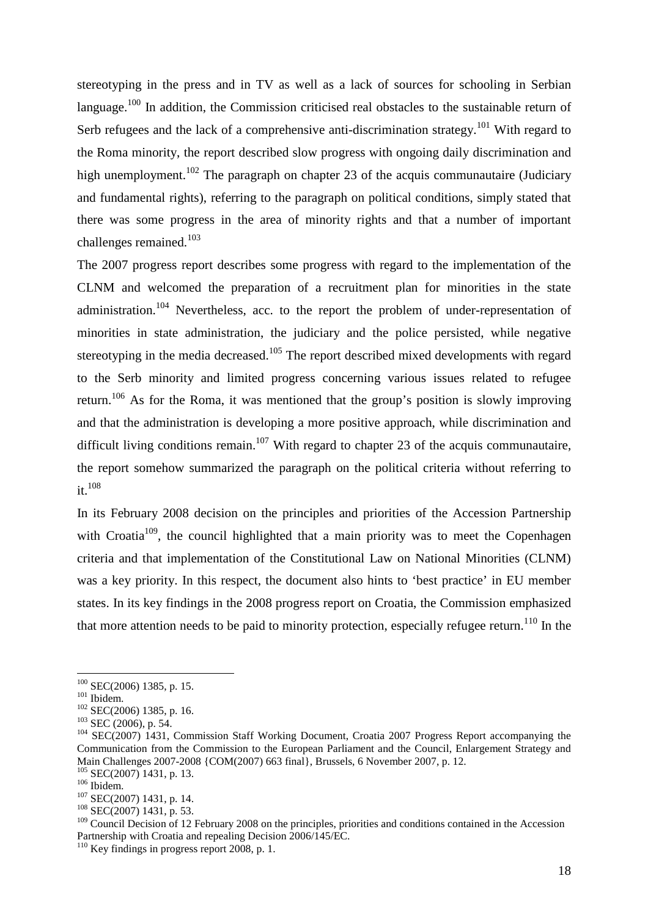stereotyping in the press and in TV as well as a lack of sources for schooling in Serbian language.<sup>100</sup> In addition, the Commission criticised real obstacles to the sustainable return of Serb refugees and the lack of a comprehensive anti-discrimination strategy.<sup>101</sup> With regard to the Roma minority, the report described slow progress with ongoing daily discrimination and high unemployment.<sup>102</sup> The paragraph on chapter 23 of the acquis communautaire (Judiciary and fundamental rights), referring to the paragraph on political conditions, simply stated that there was some progress in the area of minority rights and that a number of important challenges remained.<sup>103</sup>

The 2007 progress report describes some progress with regard to the implementation of the CLNM and welcomed the preparation of a recruitment plan for minorities in the state administration.<sup>104</sup> Nevertheless, acc. to the report the problem of under-representation of minorities in state administration, the judiciary and the police persisted, while negative stereotyping in the media decreased.<sup>105</sup> The report described mixed developments with regard to the Serb minority and limited progress concerning various issues related to refugee return.<sup>106</sup> As for the Roma, it was mentioned that the group's position is slowly improving and that the administration is developing a more positive approach, while discrimination and difficult living conditions remain.<sup>107</sup> With regard to chapter 23 of the acquis communautaire, the report somehow summarized the paragraph on the political criteria without referring to it. $108$ 

In its February 2008 decision on the principles and priorities of the Accession Partnership with Croatia<sup>109</sup>, the council highlighted that a main priority was to meet the Copenhagen criteria and that implementation of the Constitutional Law on National Minorities (CLNM) was a key priority. In this respect, the document also hints to 'best practice' in EU member states. In its key findings in the 2008 progress report on Croatia, the Commission emphasized that more attention needs to be paid to minority protection, especially refugee return.<sup>110</sup> In the

 $100$  SEC(2006) 1385, p. 15.

 $101$  Ibidem.

 $102$  SEC(2006) 1385, p. 16.

<sup>103</sup> SEC (2006), p. 54.

<sup>&</sup>lt;sup>104</sup> SEC(2007) 1431, Commission Staff Working Document, Croatia 2007 Progress Report accompanying the Communication from the Commission to the European Parliament and the Council, Enlargement Strategy and Main Challenges 2007-2008 {COM(2007) 663 final}, Brussels, 6 November 2007, p. 12.

<sup>&</sup>lt;sup>105</sup> SEC(2007) 1431, p. 13. <sup>106</sup> Ibidem.

<sup>&</sup>lt;sup>107</sup> SEC(2007) 1431, p. 14.

 $108$  SEC(2007) 1431, p. 53.

 $109$  Council Decision of 12 February 2008 on the principles, priorities and conditions contained in the Accession Partnership with Croatia and repealing Decision 2006/145/EC.

<sup>&</sup>lt;sup>110</sup> Key findings in progress report 2008, p. 1.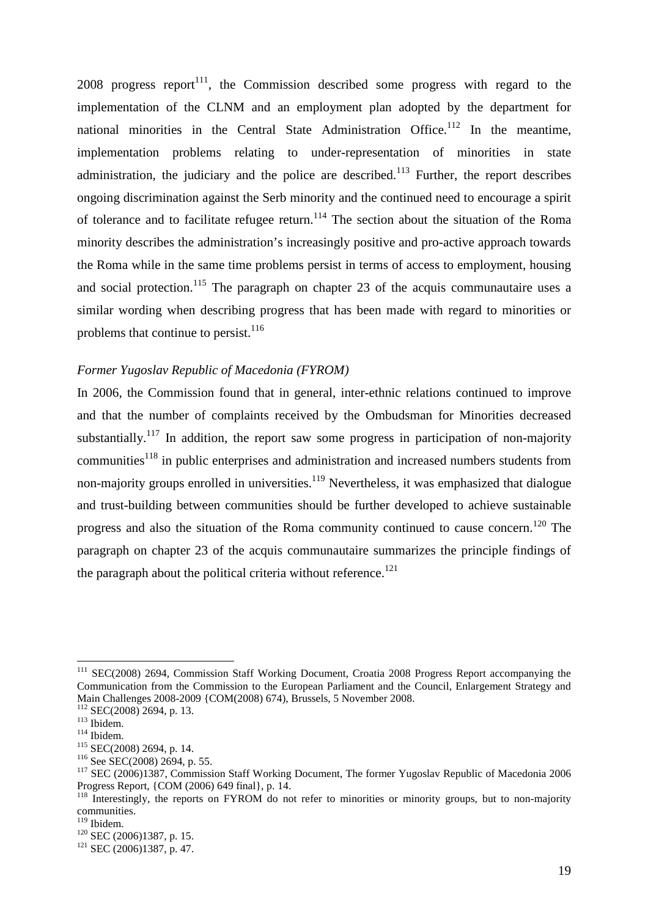2008 progress report<sup>111</sup>, the Commission described some progress with regard to the implementation of the CLNM and an employment plan adopted by the department for national minorities in the Central State Administration Office.<sup>112</sup> In the meantime, implementation problems relating to under-representation of minorities in state administration, the judiciary and the police are described.<sup>113</sup> Further, the report describes ongoing discrimination against the Serb minority and the continued need to encourage a spirit of tolerance and to facilitate refugee return.<sup>114</sup> The section about the situation of the Roma minority describes the administration's increasingly positive and pro-active approach towards the Roma while in the same time problems persist in terms of access to employment, housing and social protection.<sup>115</sup> The paragraph on chapter 23 of the acquis communautaire uses a similar wording when describing progress that has been made with regard to minorities or problems that continue to persist. $116$ 

### *Former Yugoslav Republic of Macedonia (FYROM)*

In 2006, the Commission found that in general, inter-ethnic relations continued to improve and that the number of complaints received by the Ombudsman for Minorities decreased substantially.<sup>117</sup> In addition, the report saw some progress in participation of non-majority communities<sup>118</sup> in public enterprises and administration and increased numbers students from non-majority groups enrolled in universities.<sup>119</sup> Nevertheless, it was emphasized that dialogue and trust-building between communities should be further developed to achieve sustainable progress and also the situation of the Roma community continued to cause concern.<sup>120</sup> The paragraph on chapter 23 of the acquis communautaire summarizes the principle findings of the paragraph about the political criteria without reference.<sup>121</sup>

<sup>&</sup>lt;sup>111</sup> SEC(2008) 2694, Commission Staff Working Document, Croatia 2008 Progress Report accompanying the Communication from the Commission to the European Parliament and the Council, Enlargement Strategy and Main Challenges 2008-2009 {COM(2008) 674), Brussels, 5 November 2008.

 $112$  SEC(2008) 2694, p. 13.

<sup>113</sup> Ibidem.

<sup>114</sup> Ibidem.

<sup>115</sup> SEC(2008) 2694, p. 14.

<sup>116</sup> See SEC(2008) 2694, p. 55.

<sup>&</sup>lt;sup>117</sup> SEC (2006)1387, Commission Staff Working Document, The former Yugoslav Republic of Macedonia 2006 Progress Report, {COM (2006) 649 final}, p. 14.

<sup>&</sup>lt;sup>118</sup> Interestingly, the reports on FYROM do not refer to minorities or minority groups, but to non-majority communities.

<sup>&</sup>lt;sup>119</sup> Ibidem.

<sup>&</sup>lt;sup>120</sup> SEC (2006)1387, p. 15.

<sup>121</sup> SEC (2006)1387, p. 47.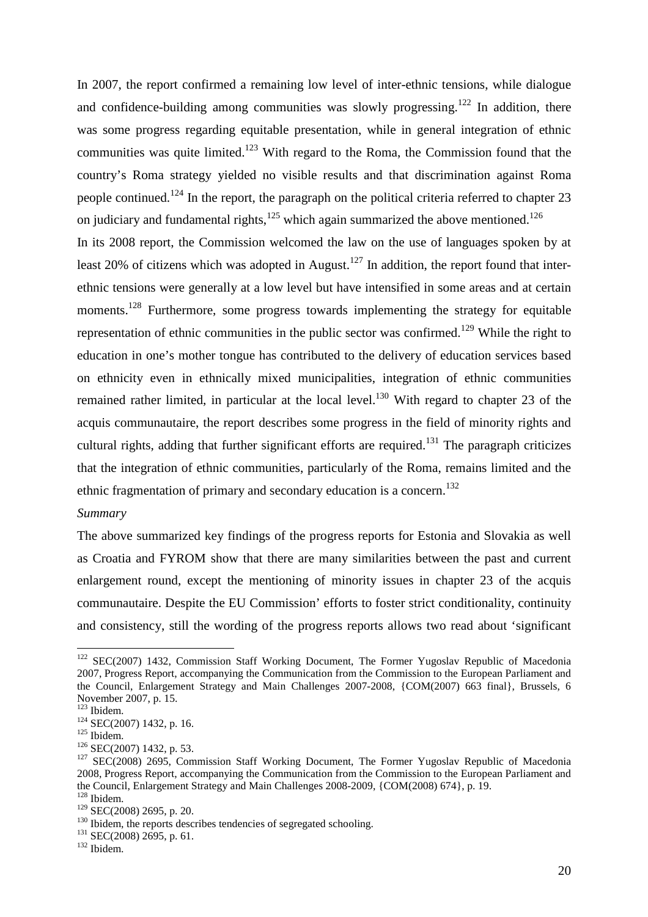In 2007, the report confirmed a remaining low level of inter-ethnic tensions, while dialogue and confidence-building among communities was slowly progressing.<sup>122</sup> In addition, there was some progress regarding equitable presentation, while in general integration of ethnic communities was quite limited.<sup>123</sup> With regard to the Roma, the Commission found that the country's Roma strategy yielded no visible results and that discrimination against Roma people continued.<sup>124</sup> In the report, the paragraph on the political criteria referred to chapter 23 on judiciary and fundamental rights, $125$  which again summarized the above mentioned.<sup>126</sup> In its 2008 report, the Commission welcomed the law on the use of languages spoken by at least 20% of citizens which was adopted in August.<sup>127</sup> In addition, the report found that interethnic tensions were generally at a low level but have intensified in some areas and at certain moments.<sup>128</sup> Furthermore, some progress towards implementing the strategy for equitable representation of ethnic communities in the public sector was confirmed.<sup>129</sup> While the right to education in one's mother tongue has contributed to the delivery of education services based on ethnicity even in ethnically mixed municipalities, integration of ethnic communities remained rather limited, in particular at the local level.<sup>130</sup> With regard to chapter 23 of the acquis communautaire, the report describes some progress in the field of minority rights and cultural rights, adding that further significant efforts are required.<sup>131</sup> The paragraph criticizes that the integration of ethnic communities, particularly of the Roma, remains limited and the

# *Summary*

The above summarized key findings of the progress reports for Estonia and Slovakia as well as Croatia and FYROM show that there are many similarities between the past and current enlargement round, except the mentioning of minority issues in chapter 23 of the acquis communautaire. Despite the EU Commission' efforts to foster strict conditionality, continuity and consistency, still the wording of the progress reports allows two read about 'significant

ethnic fragmentation of primary and secondary education is a concern.<sup>132</sup>

<sup>&</sup>lt;sup>122</sup> SEC(2007) 1432, Commission Staff Working Document, The Former Yugoslav Republic of Macedonia 2007, Progress Report, accompanying the Communication from the Commission to the European Parliament and the Council, Enlargement Strategy and Main Challenges 2007-2008, {COM(2007) 663 final}, Brussels, 6 November 2007, p. 15.

<sup>123</sup> Ibidem.

 $124$  SEC(2007) 1432, p. 16.

<sup>125</sup> Ibidem.

<sup>&</sup>lt;sup>126</sup> SEC(2007) 1432, p. 53.

<sup>&</sup>lt;sup>127</sup> SEC(2008) 2695, Commission Staff Working Document, The Former Yugoslav Republic of Macedonia 2008, Progress Report, accompanying the Communication from the Commission to the European Parliament and the Council, Enlargement Strategy and Main Challenges 2008-2009, {COM(2008) 674}, p. 19.

<sup>128</sup> Ibidem.

<sup>129</sup> SEC(2008) 2695, p. 20.

<sup>&</sup>lt;sup>130</sup> Ibidem, the reports describes tendencies of segregated schooling.

<sup>&</sup>lt;sup>131</sup> SEC(2008) 2695, p. 61.

<sup>132</sup> Ibidem.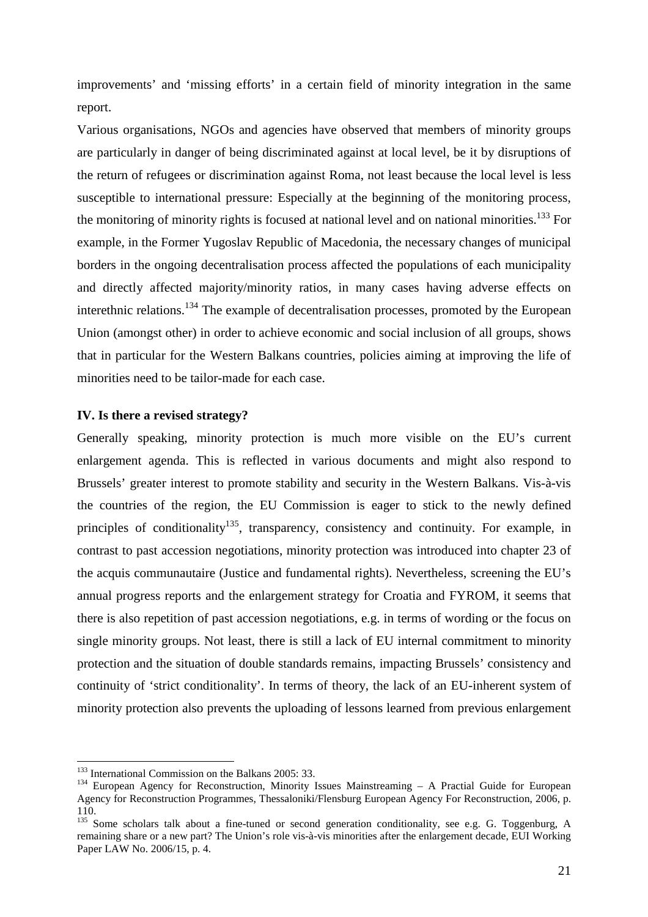improvements' and 'missing efforts' in a certain field of minority integration in the same report.

Various organisations, NGOs and agencies have observed that members of minority groups are particularly in danger of being discriminated against at local level, be it by disruptions of the return of refugees or discrimination against Roma, not least because the local level is less susceptible to international pressure: Especially at the beginning of the monitoring process, the monitoring of minority rights is focused at national level and on national minorities.<sup>133</sup> For example, in the Former Yugoslav Republic of Macedonia, the necessary changes of municipal borders in the ongoing decentralisation process affected the populations of each municipality and directly affected majority/minority ratios, in many cases having adverse effects on interethnic relations.<sup>134</sup> The example of decentralisation processes, promoted by the European Union (amongst other) in order to achieve economic and social inclusion of all groups, shows that in particular for the Western Balkans countries, policies aiming at improving the life of minorities need to be tailor-made for each case.

## **IV. Is there a revised strategy?**

Generally speaking, minority protection is much more visible on the EU's current enlargement agenda. This is reflected in various documents and might also respond to Brussels' greater interest to promote stability and security in the Western Balkans. Vis-à-vis the countries of the region, the EU Commission is eager to stick to the newly defined principles of conditionality<sup>135</sup>, transparency, consistency and continuity. For example, in contrast to past accession negotiations, minority protection was introduced into chapter 23 of the acquis communautaire (Justice and fundamental rights). Nevertheless, screening the EU's annual progress reports and the enlargement strategy for Croatia and FYROM, it seems that there is also repetition of past accession negotiations, e.g. in terms of wording or the focus on single minority groups. Not least, there is still a lack of EU internal commitment to minority protection and the situation of double standards remains, impacting Brussels' consistency and continuity of 'strict conditionality'. In terms of theory, the lack of an EU-inherent system of minority protection also prevents the uploading of lessons learned from previous enlargement

<sup>&</sup>lt;sup>133</sup> International Commission on the Balkans 2005: 33.

<sup>&</sup>lt;sup>134</sup> European Agency for Reconstruction, Minority Issues Mainstreaming - A Practial Guide for European Agency for Reconstruction Programmes, Thessaloniki/Flensburg European Agency For Reconstruction, 2006, p. 110.

<sup>&</sup>lt;sup>135</sup> Some scholars talk about a fine-tuned or second generation conditionality, see e.g. G. Toggenburg, A remaining share or a new part? The Union's role vis-à-vis minorities after the enlargement decade, EUI Working Paper LAW No. 2006/15, p. 4.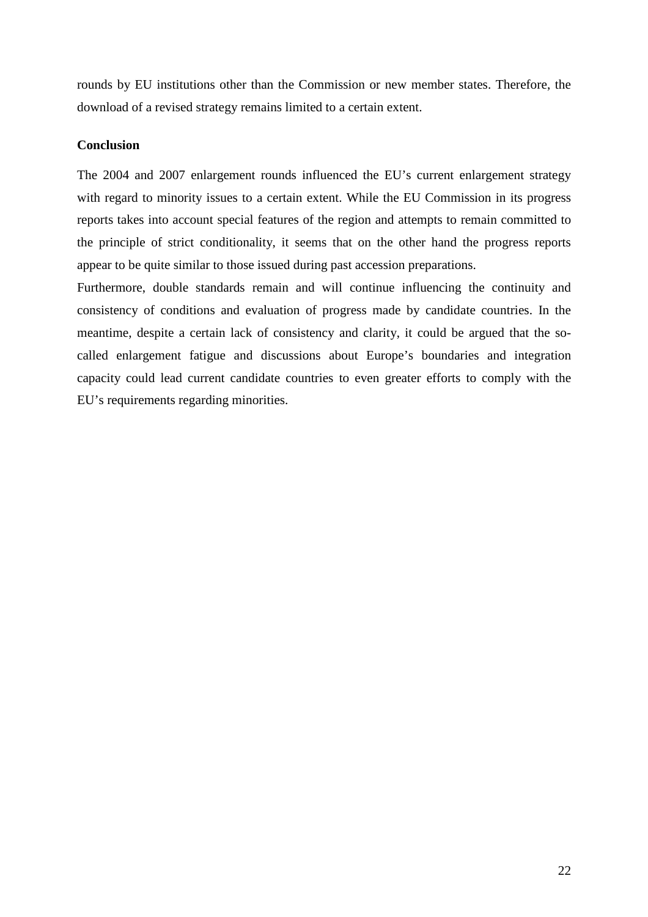rounds by EU institutions other than the Commission or new member states. Therefore, the download of a revised strategy remains limited to a certain extent.

# **Conclusion**

The 2004 and 2007 enlargement rounds influenced the EU's current enlargement strategy with regard to minority issues to a certain extent. While the EU Commission in its progress reports takes into account special features of the region and attempts to remain committed to the principle of strict conditionality, it seems that on the other hand the progress reports appear to be quite similar to those issued during past accession preparations.

Furthermore, double standards remain and will continue influencing the continuity and consistency of conditions and evaluation of progress made by candidate countries. In the meantime, despite a certain lack of consistency and clarity, it could be argued that the socalled enlargement fatigue and discussions about Europe's boundaries and integration capacity could lead current candidate countries to even greater efforts to comply with the EU's requirements regarding minorities.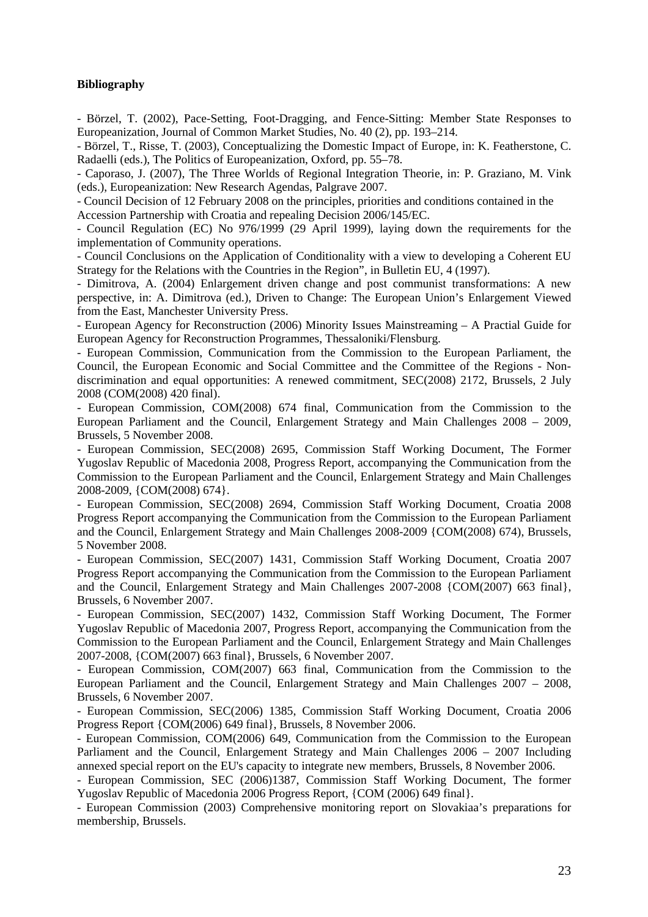#### **Bibliography**

- Börzel, T. (2002), Pace-Setting, Foot-Dragging, and Fence-Sitting: Member State Responses to Europeanization, Journal of Common Market Studies, No. 40 (2), pp. 193–214.

- Börzel, T., Risse, T. (2003), Conceptualizing the Domestic Impact of Europe, in: K. Featherstone, C. Radaelli (eds.), The Politics of Europeanization, Oxford, pp. 55–78.

- Caporaso, J. (2007), The Three Worlds of Regional Integration Theorie, in: P. Graziano, M. Vink (eds.), Europeanization: New Research Agendas, Palgrave 2007.

- Council Decision of 12 February 2008 on the principles, priorities and conditions contained in the Accession Partnership with Croatia and repealing Decision 2006/145/EC.

- Council Regulation (EC) No 976/1999 (29 April 1999), laying down the requirements for the implementation of Community operations.

- Council Conclusions on the Application of Conditionality with a view to developing a Coherent EU Strategy for the Relations with the Countries in the Region", in Bulletin EU, 4 (1997).

- Dimitrova, A. (2004) Enlargement driven change and post communist transformations: A new perspective, in: A. Dimitrova (ed.), Driven to Change: The European Union's Enlargement Viewed from the East, Manchester University Press.

- European Agency for Reconstruction (2006) Minority Issues Mainstreaming – A Practial Guide for European Agency for Reconstruction Programmes, Thessaloniki/Flensburg.

- European Commission, Communication from the Commission to the European Parliament, the Council, the European Economic and Social Committee and the Committee of the Regions - Nondiscrimination and equal opportunities: A renewed commitment, SEC(2008) 2172, Brussels, 2 July 2008 (COM(2008) 420 final).

- European Commission, COM(2008) 674 final, Communication from the Commission to the European Parliament and the Council, Enlargement Strategy and Main Challenges 2008 – 2009, Brussels, 5 November 2008.

- European Commission, SEC(2008) 2695, Commission Staff Working Document, The Former Yugoslav Republic of Macedonia 2008, Progress Report, accompanying the Communication from the Commission to the European Parliament and the Council, Enlargement Strategy and Main Challenges 2008-2009, {COM(2008) 674}.

- European Commission, SEC(2008) 2694, Commission Staff Working Document, Croatia 2008 Progress Report accompanying the Communication from the Commission to the European Parliament and the Council, Enlargement Strategy and Main Challenges 2008-2009 {COM(2008) 674), Brussels, 5 November 2008.

- European Commission, SEC(2007) 1431, Commission Staff Working Document, Croatia 2007 Progress Report accompanying the Communication from the Commission to the European Parliament and the Council, Enlargement Strategy and Main Challenges 2007-2008 {COM(2007) 663 final}, Brussels, 6 November 2007.

- European Commission, SEC(2007) 1432, Commission Staff Working Document, The Former Yugoslav Republic of Macedonia 2007, Progress Report, accompanying the Communication from the Commission to the European Parliament and the Council, Enlargement Strategy and Main Challenges 2007-2008, {COM(2007) 663 final}, Brussels, 6 November 2007.

- European Commission, COM(2007) 663 final, Communication from the Commission to the European Parliament and the Council, Enlargement Strategy and Main Challenges 2007 – 2008, Brussels, 6 November 2007.

- European Commission, SEC(2006) 1385, Commission Staff Working Document, Croatia 2006 Progress Report {COM(2006) 649 final}, Brussels, 8 November 2006.

- European Commission, COM(2006) 649, Communication from the Commission to the European Parliament and the Council, Enlargement Strategy and Main Challenges 2006 – 2007 Including annexed special report on the EU's capacity to integrate new members, Brussels, 8 November 2006.

- European Commission, SEC (2006)1387, Commission Staff Working Document, The former Yugoslav Republic of Macedonia 2006 Progress Report, {COM (2006) 649 final}.

- European Commission (2003) Comprehensive monitoring report on Slovakiaa's preparations for membership, Brussels.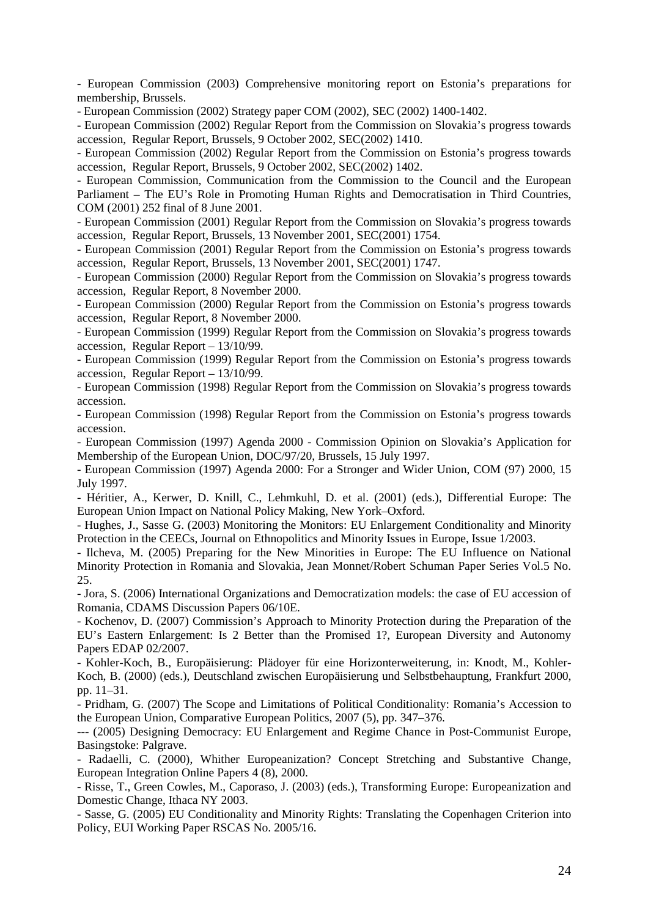- European Commission (2003) Comprehensive monitoring report on Estonia's preparations for membership, Brussels.

- European Commission (2002) Strategy paper COM (2002), SEC (2002) 1400-1402.

- European Commission (2002) Regular Report from the Commission on Slovakia's progress towards accession, Regular Report, Brussels, 9 October 2002, SEC(2002) 1410.

- European Commission (2002) Regular Report from the Commission on Estonia's progress towards accession, Regular Report, Brussels, 9 October 2002, SEC(2002) 1402.

- European Commission, Communication from the Commission to the Council and the European Parliament – The EU's Role in Promoting Human Rights and Democratisation in Third Countries, COM (2001) 252 final of 8 June 2001.

- European Commission (2001) Regular Report from the Commission on Slovakia's progress towards accession, Regular Report, Brussels, 13 November 2001, SEC(2001) 1754.

- European Commission (2001) Regular Report from the Commission on Estonia's progress towards accession, Regular Report, Brussels, 13 November 2001, SEC(2001) 1747.

- European Commission (2000) Regular Report from the Commission on Slovakia's progress towards accession, Regular Report, 8 November 2000.

- European Commission (2000) Regular Report from the Commission on Estonia's progress towards accession, Regular Report, 8 November 2000.

- European Commission (1999) Regular Report from the Commission on Slovakia's progress towards accession, Regular Report – 13/10/99.

- European Commission (1999) Regular Report from the Commission on Estonia's progress towards accession, Regular Report – 13/10/99.

- European Commission (1998) Regular Report from the Commission on Slovakia's progress towards accession.

- European Commission (1998) Regular Report from the Commission on Estonia's progress towards accession.

- European Commission (1997) Agenda 2000 - Commission Opinion on Slovakia's Application for Membership of the European Union, DOC/97/20, Brussels, 15 July 1997.

- European Commission (1997) Agenda 2000: For a Stronger and Wider Union, COM (97) 2000, 15 July 1997.

- Héritier, A., Kerwer, D. Knill, C., Lehmkuhl, D. et al. (2001) (eds.), Differential Europe: The European Union Impact on National Policy Making, New York–Oxford.

- Hughes, J., Sasse G. (2003) Monitoring the Monitors: EU Enlargement Conditionality and Minority Protection in the CEECs, Journal on Ethnopolitics and Minority Issues in Europe, Issue 1/2003.

- Ilcheva, M. (2005) Preparing for the New Minorities in Europe: The EU Influence on National Minority Protection in Romania and Slovakia, Jean Monnet/Robert Schuman Paper Series Vol.5 No. 25.

- Jora, S. (2006) International Organizations and Democratization models: the case of EU accession of Romania, CDAMS Discussion Papers 06/10E.

- Kochenov, D. (2007) Commission's Approach to Minority Protection during the Preparation of the EU's Eastern Enlargement: Is 2 Better than the Promised 1?, European Diversity and Autonomy Papers EDAP 02/2007.

- Kohler-Koch, B., Europäisierung: Plädoyer für eine Horizonterweiterung, in: Knodt, M., Kohler-Koch, B. (2000) (eds.), Deutschland zwischen Europäisierung und Selbstbehauptung, Frankfurt 2000, pp. 11–31.

- Pridham, G. (2007) The Scope and Limitations of Political Conditionality: Romania's Accession to the European Union, Comparative European Politics, 2007 (5), pp. 347–376.

--- (2005) Designing Democracy: EU Enlargement and Regime Chance in Post-Communist Europe, Basingstoke: Palgrave.

- Radaelli, C. (2000), Whither Europeanization? Concept Stretching and Substantive Change, European Integration Online Papers 4 (8), 2000.

- Risse, T., Green Cowles, M., Caporaso, J. (2003) (eds.), Transforming Europe: Europeanization and Domestic Change, Ithaca NY 2003.

- Sasse, G. (2005) EU Conditionality and Minority Rights: Translating the Copenhagen Criterion into Policy, EUI Working Paper RSCAS No. 2005/16.